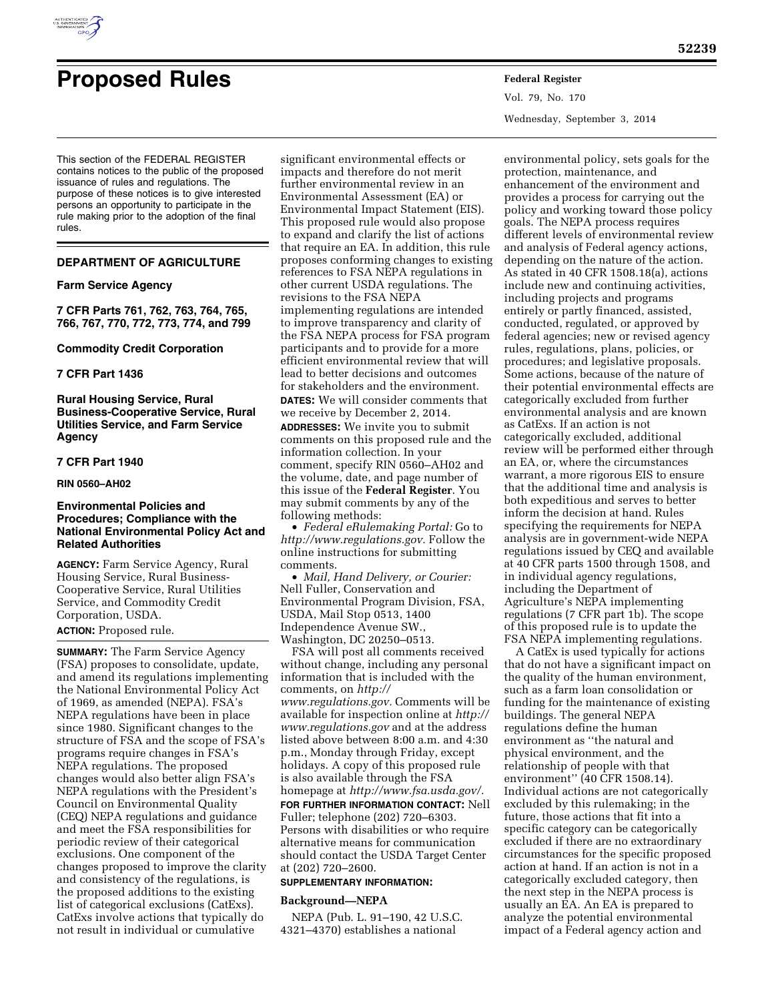

# **Proposed Rules Federal Register**

Vol. 79, No. 170 Wednesday, September 3, 2014

This section of the FEDERAL REGISTER contains notices to the public of the proposed issuance of rules and regulations. The purpose of these notices is to give interested persons an opportunity to participate in the rule making prior to the adoption of the final rules.

# **DEPARTMENT OF AGRICULTURE**

# **Farm Service Agency**

**7 CFR Parts 761, 762, 763, 764, 765, 766, 767, 770, 772, 773, 774, and 799** 

#### **Commodity Credit Corporation**

# **7 CFR Part 1436**

**Rural Housing Service, Rural Business-Cooperative Service, Rural Utilities Service, and Farm Service Agency** 

# **7 CFR Part 1940**

**RIN 0560–AH02** 

# **Environmental Policies and Procedures; Compliance with the National Environmental Policy Act and Related Authorities**

**AGENCY:** Farm Service Agency, Rural Housing Service, Rural Business-Cooperative Service, Rural Utilities Service, and Commodity Credit Corporation, USDA.

# **ACTION:** Proposed rule.

**SUMMARY:** The Farm Service Agency (FSA) proposes to consolidate, update, and amend its regulations implementing the National Environmental Policy Act of 1969, as amended (NEPA). FSA's NEPA regulations have been in place since 1980. Significant changes to the structure of FSA and the scope of FSA's programs require changes in FSA's NEPA regulations. The proposed changes would also better align FSA's NEPA regulations with the President's Council on Environmental Quality (CEQ) NEPA regulations and guidance and meet the FSA responsibilities for periodic review of their categorical exclusions. One component of the changes proposed to improve the clarity and consistency of the regulations, is the proposed additions to the existing list of categorical exclusions (CatExs). CatExs involve actions that typically do not result in individual or cumulative

significant environmental effects or impacts and therefore do not merit further environmental review in an Environmental Assessment (EA) or Environmental Impact Statement (EIS). This proposed rule would also propose to expand and clarify the list of actions that require an EA. In addition, this rule proposes conforming changes to existing references to FSA NEPA regulations in other current USDA regulations. The revisions to the FSA NEPA implementing regulations are intended to improve transparency and clarity of the FSA NEPA process for FSA program participants and to provide for a more efficient environmental review that will lead to better decisions and outcomes for stakeholders and the environment. **DATES:** We will consider comments that we receive by December 2, 2014. **ADDRESSES:** We invite you to submit comments on this proposed rule and the information collection. In your comment, specify RIN 0560–AH02 and the volume, date, and page number of

this issue of the **Federal Register**. You may submit comments by any of the following methods: • *Federal eRulemaking Portal:* Go to

*[http://www.regulations.gov.](http://www.regulations.gov)* Follow the online instructions for submitting comments.

• *Mail, Hand Delivery, or Courier:*  Nell Fuller, Conservation and Environmental Program Division, FSA, USDA, Mail Stop 0513, 1400 Independence Avenue SW., Washington, DC 20250–0513.

FSA will post all comments received without change, including any personal information that is included with the comments, on *[http://](http://www.regulations.gov)  [www.regulations.gov.](http://www.regulations.gov)* Comments will be available for inspection online at *[http://](http://www.regulations.gov)  [www.regulations.gov](http://www.regulations.gov)* and at the address listed above between 8:00 a.m. and 4:30 p.m., Monday through Friday, except holidays. A copy of this proposed rule is also available through the FSA homepage at *[http://www.fsa.usda.gov/.](http://www.fsa.usda.gov/)*  **FOR FURTHER INFORMATION CONTACT:** Nell Fuller; telephone (202) 720–6303. Persons with disabilities or who require alternative means for communication should contact the USDA Target Center at (202) 720–2600.

#### **SUPPLEMENTARY INFORMATION:**

#### **Background—NEPA**

NEPA (Pub. L. 91–190, 42 U.S.C. 4321–4370) establishes a national

environmental policy, sets goals for the protection, maintenance, and enhancement of the environment and provides a process for carrying out the policy and working toward those policy goals. The NEPA process requires different levels of environmental review and analysis of Federal agency actions, depending on the nature of the action. As stated in 40 CFR 1508.18(a), actions include new and continuing activities, including projects and programs entirely or partly financed, assisted, conducted, regulated, or approved by federal agencies; new or revised agency rules, regulations, plans, policies, or procedures; and legislative proposals. Some actions, because of the nature of their potential environmental effects are categorically excluded from further environmental analysis and are known as CatExs. If an action is not categorically excluded, additional review will be performed either through an EA, or, where the circumstances warrant, a more rigorous EIS to ensure that the additional time and analysis is both expeditious and serves to better inform the decision at hand. Rules specifying the requirements for NEPA analysis are in government-wide NEPA regulations issued by CEQ and available at 40 CFR parts 1500 through 1508, and in individual agency regulations, including the Department of Agriculture's NEPA implementing regulations (7 CFR part 1b). The scope of this proposed rule is to update the FSA NEPA implementing regulations.

A CatEx is used typically for actions that do not have a significant impact on the quality of the human environment, such as a farm loan consolidation or funding for the maintenance of existing buildings. The general NEPA regulations define the human environment as ''the natural and physical environment, and the relationship of people with that environment" (40 CFR 1508.14). Individual actions are not categorically excluded by this rulemaking; in the future, those actions that fit into a specific category can be categorically excluded if there are no extraordinary circumstances for the specific proposed action at hand. If an action is not in a categorically excluded category, then the next step in the NEPA process is usually an EA. An EA is prepared to analyze the potential environmental impact of a Federal agency action and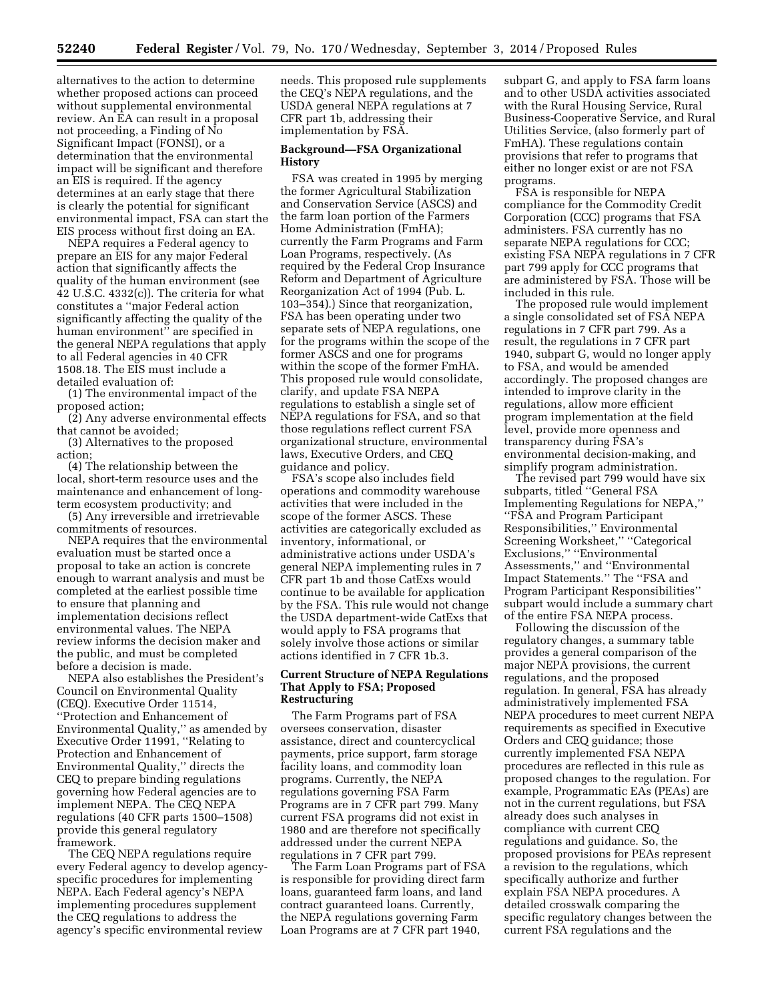alternatives to the action to determine whether proposed actions can proceed without supplemental environmental review. An EA can result in a proposal not proceeding, a Finding of No Significant Impact (FONSI), or a determination that the environmental impact will be significant and therefore an EIS is required. If the agency determines at an early stage that there is clearly the potential for significant environmental impact, FSA can start the EIS process without first doing an EA.

NEPA requires a Federal agency to prepare an EIS for any major Federal action that significantly affects the quality of the human environment (see 42 U.S.C. 4332(c)). The criteria for what constitutes a ''major Federal action significantly affecting the quality of the human environment'' are specified in the general NEPA regulations that apply to all Federal agencies in 40 CFR 1508.18. The EIS must include a detailed evaluation of:

(1) The environmental impact of the proposed action;

(2) Any adverse environmental effects that cannot be avoided;

(3) Alternatives to the proposed action;

(4) The relationship between the local, short-term resource uses and the maintenance and enhancement of longterm ecosystem productivity; and

(5) Any irreversible and irretrievable commitments of resources.

NEPA requires that the environmental evaluation must be started once a proposal to take an action is concrete enough to warrant analysis and must be completed at the earliest possible time to ensure that planning and implementation decisions reflect environmental values. The NEPA review informs the decision maker and the public, and must be completed before a decision is made.

NEPA also establishes the President's Council on Environmental Quality (CEQ). Executive Order 11514, ''Protection and Enhancement of Environmental Quality,'' as amended by Executive Order 11991, ''Relating to Protection and Enhancement of Environmental Quality,'' directs the CEQ to prepare binding regulations governing how Federal agencies are to implement NEPA. The CEQ NEPA regulations (40 CFR parts 1500–1508) provide this general regulatory framework.

The CEQ NEPA regulations require every Federal agency to develop agencyspecific procedures for implementing NEPA. Each Federal agency's NEPA implementing procedures supplement the CEQ regulations to address the agency's specific environmental review

needs. This proposed rule supplements the CEQ's NEPA regulations, and the USDA general NEPA regulations at 7 CFR part 1b, addressing their implementation by FSA.

## **Background—FSA Organizational History**

FSA was created in 1995 by merging the former Agricultural Stabilization and Conservation Service (ASCS) and the farm loan portion of the Farmers Home Administration (FmHA); currently the Farm Programs and Farm Loan Programs, respectively. (As required by the Federal Crop Insurance Reform and Department of Agriculture Reorganization Act of 1994 (Pub. L. 103–354).) Since that reorganization, FSA has been operating under two separate sets of NEPA regulations, one for the programs within the scope of the former ASCS and one for programs within the scope of the former FmHA. This proposed rule would consolidate, clarify, and update FSA NEPA regulations to establish a single set of NEPA regulations for FSA, and so that those regulations reflect current FSA organizational structure, environmental laws, Executive Orders, and CEQ guidance and policy.

FSA's scope also includes field operations and commodity warehouse activities that were included in the scope of the former ASCS. These activities are categorically excluded as inventory, informational, or administrative actions under USDA's general NEPA implementing rules in 7 CFR part 1b and those CatExs would continue to be available for application by the FSA. This rule would not change the USDA department-wide CatExs that would apply to FSA programs that solely involve those actions or similar actions identified in 7 CFR 1b.3.

# **Current Structure of NEPA Regulations That Apply to FSA; Proposed Restructuring**

The Farm Programs part of FSA oversees conservation, disaster assistance, direct and countercyclical payments, price support, farm storage facility loans, and commodity loan programs. Currently, the NEPA regulations governing FSA Farm Programs are in 7 CFR part 799. Many current FSA programs did not exist in 1980 and are therefore not specifically addressed under the current NEPA regulations in 7 CFR part 799.

The Farm Loan Programs part of FSA is responsible for providing direct farm loans, guaranteed farm loans, and land contract guaranteed loans. Currently, the NEPA regulations governing Farm Loan Programs are at 7 CFR part 1940,

subpart G, and apply to FSA farm loans and to other USDA activities associated with the Rural Housing Service, Rural Business-Cooperative Service, and Rural Utilities Service, (also formerly part of FmHA). These regulations contain provisions that refer to programs that either no longer exist or are not FSA programs.

FSA is responsible for NEPA compliance for the Commodity Credit Corporation (CCC) programs that FSA administers. FSA currently has no separate NEPA regulations for CCC; existing FSA NEPA regulations in 7 CFR part 799 apply for CCC programs that are administered by FSA. Those will be included in this rule.

The proposed rule would implement a single consolidated set of FSA NEPA regulations in 7 CFR part 799. As a result, the regulations in 7 CFR part 1940, subpart G, would no longer apply to FSA, and would be amended accordingly. The proposed changes are intended to improve clarity in the regulations, allow more efficient program implementation at the field level, provide more openness and transparency during FSA's environmental decision-making, and simplify program administration.

The revised part 799 would have six subparts, titled ''General FSA Implementing Regulations for NEPA,'' ''FSA and Program Participant Responsibilities,'' Environmental Screening Worksheet,'' ''Categorical Exclusions,'' ''Environmental Assessments,'' and ''Environmental Impact Statements.'' The ''FSA and Program Participant Responsibilities'' subpart would include a summary chart of the entire FSA NEPA process.

Following the discussion of the regulatory changes, a summary table provides a general comparison of the major NEPA provisions, the current regulations, and the proposed regulation. In general, FSA has already administratively implemented FSA NEPA procedures to meet current NEPA requirements as specified in Executive Orders and CEQ guidance; those currently implemented FSA NEPA procedures are reflected in this rule as proposed changes to the regulation. For example, Programmatic EAs (PEAs) are not in the current regulations, but FSA already does such analyses in compliance with current CEQ regulations and guidance. So, the proposed provisions for PEAs represent a revision to the regulations, which specifically authorize and further explain FSA NEPA procedures. A detailed crosswalk comparing the specific regulatory changes between the current FSA regulations and the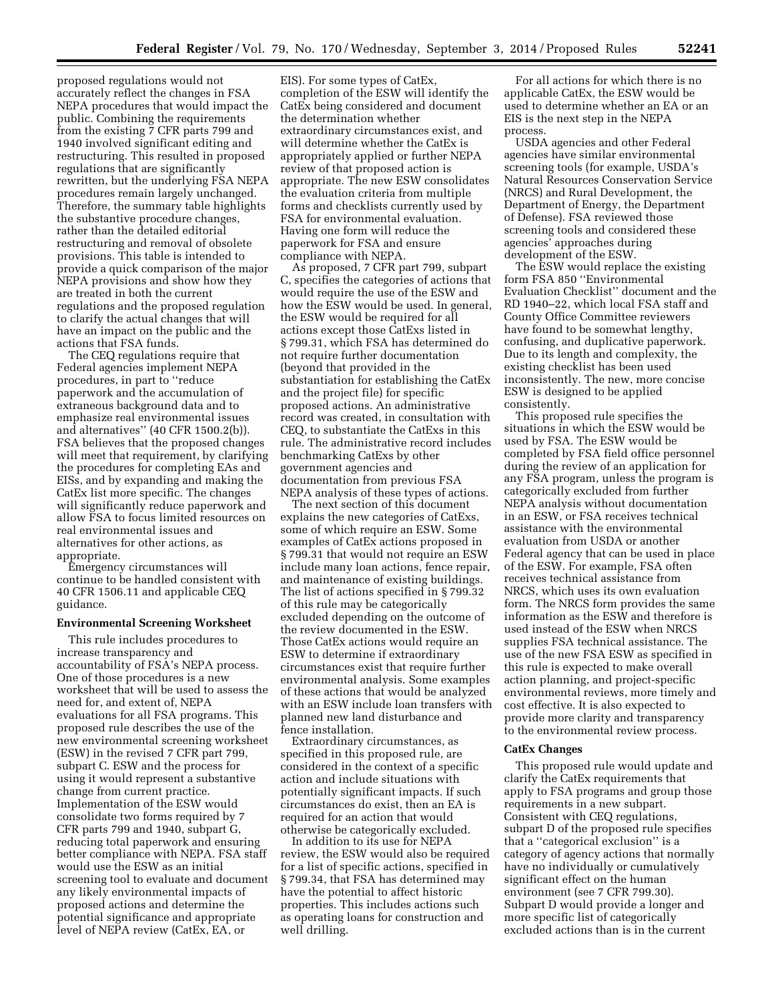proposed regulations would not accurately reflect the changes in FSA NEPA procedures that would impact the public. Combining the requirements from the existing 7 CFR parts 799 and 1940 involved significant editing and restructuring. This resulted in proposed regulations that are significantly rewritten, but the underlying FSA NEPA procedures remain largely unchanged. Therefore, the summary table highlights the substantive procedure changes, rather than the detailed editorial restructuring and removal of obsolete provisions. This table is intended to provide a quick comparison of the major NEPA provisions and show how they are treated in both the current regulations and the proposed regulation to clarify the actual changes that will have an impact on the public and the actions that FSA funds.

The CEQ regulations require that Federal agencies implement NEPA procedures, in part to ''reduce paperwork and the accumulation of extraneous background data and to emphasize real environmental issues and alternatives'' (40 CFR 1500.2(b)). FSA believes that the proposed changes will meet that requirement, by clarifying the procedures for completing EAs and EISs, and by expanding and making the CatEx list more specific. The changes will significantly reduce paperwork and allow FSA to focus limited resources on real environmental issues and alternatives for other actions, as appropriate.

Emergency circumstances will continue to be handled consistent with 40 CFR 1506.11 and applicable CEQ guidance.

#### **Environmental Screening Worksheet**

This rule includes procedures to increase transparency and accountability of FSA's NEPA process. One of those procedures is a new worksheet that will be used to assess the need for, and extent of, NEPA evaluations for all FSA programs. This proposed rule describes the use of the new environmental screening worksheet (ESW) in the revised 7 CFR part 799, subpart C. ESW and the process for using it would represent a substantive change from current practice. Implementation of the ESW would consolidate two forms required by 7 CFR parts 799 and 1940, subpart G, reducing total paperwork and ensuring better compliance with NEPA. FSA staff would use the ESW as an initial screening tool to evaluate and document any likely environmental impacts of proposed actions and determine the potential significance and appropriate level of NEPA review (CatEx, EA, or

EIS). For some types of CatEx, completion of the ESW will identify the CatEx being considered and document the determination whether extraordinary circumstances exist, and will determine whether the CatEx is appropriately applied or further NEPA review of that proposed action is appropriate. The new ESW consolidates the evaluation criteria from multiple forms and checklists currently used by FSA for environmental evaluation. Having one form will reduce the paperwork for FSA and ensure compliance with NEPA.

As proposed, 7 CFR part 799, subpart C, specifies the categories of actions that would require the use of the ESW and how the ESW would be used. In general, the ESW would be required for all actions except those CatExs listed in § 799.31, which FSA has determined do not require further documentation (beyond that provided in the substantiation for establishing the CatEx and the project file) for specific proposed actions. An administrative record was created, in consultation with CEQ, to substantiate the CatExs in this rule. The administrative record includes benchmarking CatExs by other government agencies and documentation from previous FSA NEPA analysis of these types of actions.

The next section of this document explains the new categories of CatExs, some of which require an ESW. Some examples of CatEx actions proposed in § 799.31 that would not require an ESW include many loan actions, fence repair, and maintenance of existing buildings. The list of actions specified in § 799.32 of this rule may be categorically excluded depending on the outcome of the review documented in the ESW. Those CatEx actions would require an ESW to determine if extraordinary circumstances exist that require further environmental analysis. Some examples of these actions that would be analyzed with an ESW include loan transfers with planned new land disturbance and fence installation.

Extraordinary circumstances, as specified in this proposed rule, are considered in the context of a specific action and include situations with potentially significant impacts. If such circumstances do exist, then an EA is required for an action that would otherwise be categorically excluded.

In addition to its use for NEPA review, the ESW would also be required for a list of specific actions, specified in § 799.34, that FSA has determined may have the potential to affect historic properties. This includes actions such as operating loans for construction and well drilling.

For all actions for which there is no applicable CatEx, the ESW would be used to determine whether an EA or an EIS is the next step in the NEPA process.

USDA agencies and other Federal agencies have similar environmental screening tools (for example, USDA's Natural Resources Conservation Service (NRCS) and Rural Development, the Department of Energy, the Department of Defense). FSA reviewed those screening tools and considered these agencies' approaches during development of the ESW.

The ESW would replace the existing form FSA 850 ''Environmental Evaluation Checklist'' document and the RD 1940–22, which local FSA staff and County Office Committee reviewers have found to be somewhat lengthy, confusing, and duplicative paperwork. Due to its length and complexity, the existing checklist has been used inconsistently. The new, more concise ESW is designed to be applied consistently.

This proposed rule specifies the situations in which the ESW would be used by FSA. The ESW would be completed by FSA field office personnel during the review of an application for any FSA program, unless the program is categorically excluded from further NEPA analysis without documentation in an ESW, or FSA receives technical assistance with the environmental evaluation from USDA or another Federal agency that can be used in place of the ESW. For example, FSA often receives technical assistance from NRCS, which uses its own evaluation form. The NRCS form provides the same information as the ESW and therefore is used instead of the ESW when NRCS supplies FSA technical assistance. The use of the new FSA ESW as specified in this rule is expected to make overall action planning, and project-specific environmental reviews, more timely and cost effective. It is also expected to provide more clarity and transparency to the environmental review process.

#### **CatEx Changes**

This proposed rule would update and clarify the CatEx requirements that apply to FSA programs and group those requirements in a new subpart. Consistent with CEQ regulations, subpart D of the proposed rule specifies that a ''categorical exclusion'' is a category of agency actions that normally have no individually or cumulatively significant effect on the human environment (see 7 CFR 799.30). Subpart D would provide a longer and more specific list of categorically excluded actions than is in the current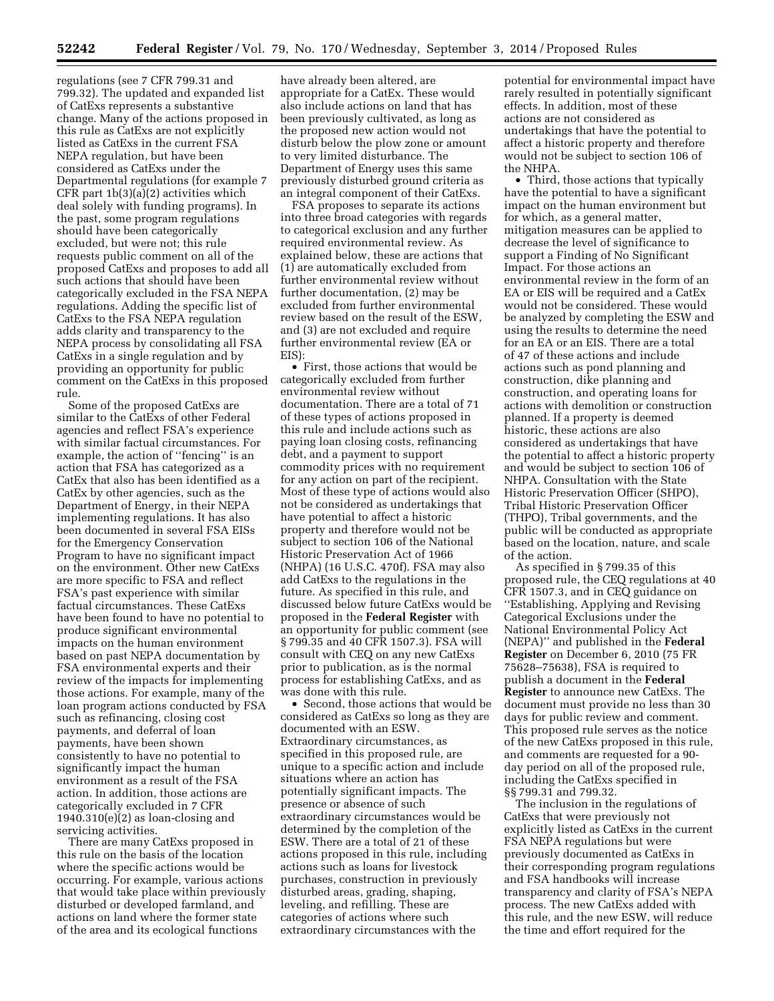regulations (see 7 CFR 799.31 and 799.32). The updated and expanded list of CatExs represents a substantive change. Many of the actions proposed in this rule as CatExs are not explicitly listed as CatExs in the current FSA NEPA regulation, but have been considered as CatExs under the Departmental regulations (for example 7 CFR part 1b(3)(a)(2) activities which deal solely with funding programs). In the past, some program regulations should have been categorically excluded, but were not; this rule requests public comment on all of the proposed CatExs and proposes to add all such actions that should have been categorically excluded in the FSA NEPA regulations. Adding the specific list of CatExs to the FSA NEPA regulation adds clarity and transparency to the NEPA process by consolidating all FSA CatExs in a single regulation and by providing an opportunity for public comment on the CatExs in this proposed rule.

Some of the proposed CatExs are similar to the CatExs of other Federal agencies and reflect FSA's experience with similar factual circumstances. For example, the action of ''fencing'' is an action that FSA has categorized as a CatEx that also has been identified as a CatEx by other agencies, such as the Department of Energy, in their NEPA implementing regulations. It has also been documented in several FSA EISs for the Emergency Conservation Program to have no significant impact on the environment. Other new CatExs are more specific to FSA and reflect FSA's past experience with similar factual circumstances. These CatExs have been found to have no potential to produce significant environmental impacts on the human environment based on past NEPA documentation by FSA environmental experts and their review of the impacts for implementing those actions. For example, many of the loan program actions conducted by FSA such as refinancing, closing cost payments, and deferral of loan payments, have been shown consistently to have no potential to significantly impact the human environment as a result of the FSA action. In addition, those actions are categorically excluded in 7 CFR  $1940.310(e)(2)$  as loan-closing and servicing activities.

There are many CatExs proposed in this rule on the basis of the location where the specific actions would be occurring. For example, various actions that would take place within previously disturbed or developed farmland, and actions on land where the former state of the area and its ecological functions

have already been altered, are appropriate for a CatEx. These would also include actions on land that has been previously cultivated, as long as the proposed new action would not disturb below the plow zone or amount to very limited disturbance. The Department of Energy uses this same previously disturbed ground criteria as an integral component of their CatExs.

FSA proposes to separate its actions into three broad categories with regards to categorical exclusion and any further required environmental review. As explained below, these are actions that (1) are automatically excluded from further environmental review without further documentation, (2) may be excluded from further environmental review based on the result of the ESW, and (3) are not excluded and require further environmental review (EA or EIS):

• First, those actions that would be categorically excluded from further environmental review without documentation. There are a total of 71 of these types of actions proposed in this rule and include actions such as paying loan closing costs, refinancing debt, and a payment to support commodity prices with no requirement for any action on part of the recipient. Most of these type of actions would also not be considered as undertakings that have potential to affect a historic property and therefore would not be subject to section 106 of the National Historic Preservation Act of 1966 (NHPA) (16 U.S.C. 470f). FSA may also add CatExs to the regulations in the future. As specified in this rule, and discussed below future CatExs would be proposed in the **Federal Register** with an opportunity for public comment (see § 799.35 and 40 CFR 1507.3). FSA will consult with CEQ on any new CatExs prior to publication, as is the normal process for establishing CatExs, and as was done with this rule.

• Second, those actions that would be considered as CatExs so long as they are documented with an ESW. Extraordinary circumstances, as specified in this proposed rule, are unique to a specific action and include situations where an action has potentially significant impacts. The presence or absence of such extraordinary circumstances would be determined by the completion of the ESW. There are a total of 21 of these actions proposed in this rule, including actions such as loans for livestock purchases, construction in previously disturbed areas, grading, shaping, leveling, and refilling. These are categories of actions where such extraordinary circumstances with the

potential for environmental impact have rarely resulted in potentially significant effects. In addition, most of these actions are not considered as undertakings that have the potential to affect a historic property and therefore would not be subject to section 106 of the NHPA.

• Third, those actions that typically have the potential to have a significant impact on the human environment but for which, as a general matter, mitigation measures can be applied to decrease the level of significance to support a Finding of No Significant Impact. For those actions an environmental review in the form of an EA or EIS will be required and a CatEx would not be considered. These would be analyzed by completing the ESW and using the results to determine the need for an EA or an EIS. There are a total of 47 of these actions and include actions such as pond planning and construction, dike planning and construction, and operating loans for actions with demolition or construction planned. If a property is deemed historic, these actions are also considered as undertakings that have the potential to affect a historic property and would be subject to section 106 of NHPA. Consultation with the State Historic Preservation Officer (SHPO), Tribal Historic Preservation Officer (THPO), Tribal governments, and the public will be conducted as appropriate based on the location, nature, and scale of the action.

As specified in § 799.35 of this proposed rule, the CEQ regulations at 40 CFR 1507.3, and in CEQ guidance on ''Establishing, Applying and Revising Categorical Exclusions under the National Environmental Policy Act (NEPA)'' and published in the **Federal Register** on December 6, 2010 (75 FR 75628–75638), FSA is required to publish a document in the **Federal Register** to announce new CatExs. The document must provide no less than 30 days for public review and comment. This proposed rule serves as the notice of the new CatExs proposed in this rule, and comments are requested for a 90 day period on all of the proposed rule, including the CatExs specified in §§ 799.31 and 799.32.

The inclusion in the regulations of CatExs that were previously not explicitly listed as CatExs in the current FSA NEPA regulations but were previously documented as CatExs in their corresponding program regulations and FSA handbooks will increase transparency and clarity of FSA's NEPA process. The new CatExs added with this rule, and the new ESW, will reduce the time and effort required for the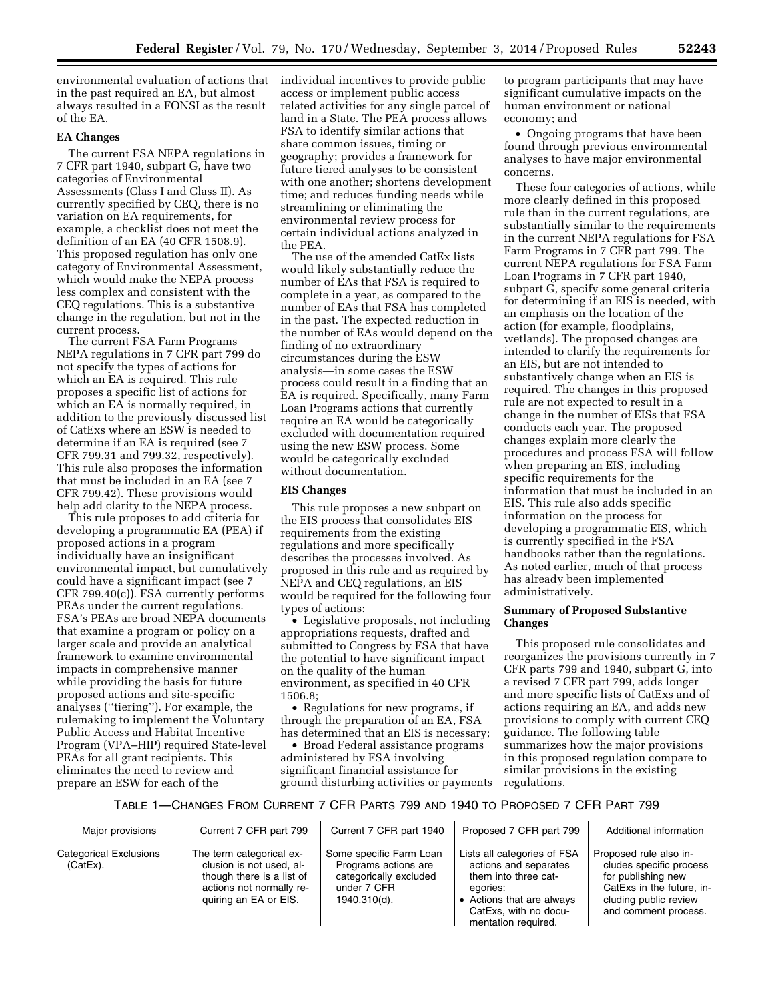environmental evaluation of actions that in the past required an EA, but almost always resulted in a FONSI as the result of the EA.

# **EA Changes**

The current FSA NEPA regulations in 7 CFR part 1940, subpart G, have two categories of Environmental Assessments (Class I and Class II). As currently specified by CEQ, there is no variation on EA requirements, for example, a checklist does not meet the definition of an EA (40 CFR 1508.9). This proposed regulation has only one category of Environmental Assessment, which would make the NEPA process less complex and consistent with the CEQ regulations. This is a substantive change in the regulation, but not in the current process.

The current FSA Farm Programs NEPA regulations in 7 CFR part 799 do not specify the types of actions for which an EA is required. This rule proposes a specific list of actions for which an EA is normally required, in addition to the previously discussed list of CatExs where an ESW is needed to determine if an EA is required (see 7 CFR 799.31 and 799.32, respectively). This rule also proposes the information that must be included in an EA (see 7 CFR 799.42). These provisions would help add clarity to the NEPA process.

This rule proposes to add criteria for developing a programmatic EA (PEA) if proposed actions in a program individually have an insignificant environmental impact, but cumulatively could have a significant impact (see 7 CFR 799.40(c)). FSA currently performs PEAs under the current regulations. FSA's PEAs are broad NEPA documents that examine a program or policy on a larger scale and provide an analytical framework to examine environmental impacts in comprehensive manner while providing the basis for future proposed actions and site-specific analyses (''tiering''). For example, the rulemaking to implement the Voluntary Public Access and Habitat Incentive Program (VPA–HIP) required State-level PEAs for all grant recipients. This eliminates the need to review and prepare an ESW for each of the

individual incentives to provide public access or implement public access related activities for any single parcel of land in a State. The PEA process allows FSA to identify similar actions that share common issues, timing or geography; provides a framework for future tiered analyses to be consistent with one another; shortens development time; and reduces funding needs while streamlining or eliminating the environmental review process for certain individual actions analyzed in the PEA.

The use of the amended CatEx lists would likely substantially reduce the number of EAs that FSA is required to complete in a year, as compared to the number of EAs that FSA has completed in the past. The expected reduction in the number of EAs would depend on the finding of no extraordinary circumstances during the ESW analysis—in some cases the ESW process could result in a finding that an EA is required. Specifically, many Farm Loan Programs actions that currently require an EA would be categorically excluded with documentation required using the new ESW process. Some would be categorically excluded without documentation.

# **EIS Changes**

This rule proposes a new subpart on the EIS process that consolidates EIS requirements from the existing regulations and more specifically describes the processes involved. As proposed in this rule and as required by NEPA and CEQ regulations, an EIS would be required for the following four types of actions:

• Legislative proposals, not including appropriations requests, drafted and submitted to Congress by FSA that have the potential to have significant impact on the quality of the human environment, as specified in 40 CFR 1506.8;

• Regulations for new programs, if through the preparation of an EA, FSA has determined that an EIS is necessary;

• Broad Federal assistance programs administered by FSA involving significant financial assistance for ground disturbing activities or payments to program participants that may have significant cumulative impacts on the human environment or national economy; and

• Ongoing programs that have been found through previous environmental analyses to have major environmental concerns.

These four categories of actions, while more clearly defined in this proposed rule than in the current regulations, are substantially similar to the requirements in the current NEPA regulations for FSA Farm Programs in 7 CFR part 799. The current NEPA regulations for FSA Farm Loan Programs in 7 CFR part 1940, subpart G, specify some general criteria for determining if an EIS is needed, with an emphasis on the location of the action (for example, floodplains, wetlands). The proposed changes are intended to clarify the requirements for an EIS, but are not intended to substantively change when an EIS is required. The changes in this proposed rule are not expected to result in a change in the number of EISs that FSA conducts each year. The proposed changes explain more clearly the procedures and process FSA will follow when preparing an EIS, including specific requirements for the information that must be included in an EIS. This rule also adds specific information on the process for developing a programmatic EIS, which is currently specified in the FSA handbooks rather than the regulations. As noted earlier, much of that process has already been implemented administratively.

# **Summary of Proposed Substantive Changes**

This proposed rule consolidates and reorganizes the provisions currently in 7 CFR parts 799 and 1940, subpart G, into a revised 7 CFR part 799, adds longer and more specific lists of CatExs and of actions requiring an EA, and adds new provisions to comply with current CEQ guidance. The following table summarizes how the major provisions in this proposed regulation compare to similar provisions in the existing regulations.

# TABLE 1—CHANGES FROM CURRENT 7 CFR PARTS 799 AND 1940 TO PROPOSED 7 CFR PART 799

| Major provisions                   | Current 7 CFR part 799                                                                                                                 | Current 7 CFR part 1940                                                                                  | Proposed 7 CFR part 799                                                                                                                                               | Additional information                                                                                                                                |
|------------------------------------|----------------------------------------------------------------------------------------------------------------------------------------|----------------------------------------------------------------------------------------------------------|-----------------------------------------------------------------------------------------------------------------------------------------------------------------------|-------------------------------------------------------------------------------------------------------------------------------------------------------|
| Categorical Exclusions<br>(CatEx). | The term categorical ex-<br>clusion is not used, al-<br>though there is a list of<br>actions not normally re-<br>quiring an EA or EIS. | Some specific Farm Loan<br>Programs actions are<br>categorically excluded<br>under 7 CFR<br>1940.310(d). | Lists all categories of FSA<br>actions and separates<br>them into three cat-<br>egories:<br>• Actions that are always<br>CatExs. with no docu-<br>mentation required. | Proposed rule also in-<br>cludes specific process<br>for publishing new<br>CatExs in the future, in-<br>cluding public review<br>and comment process. |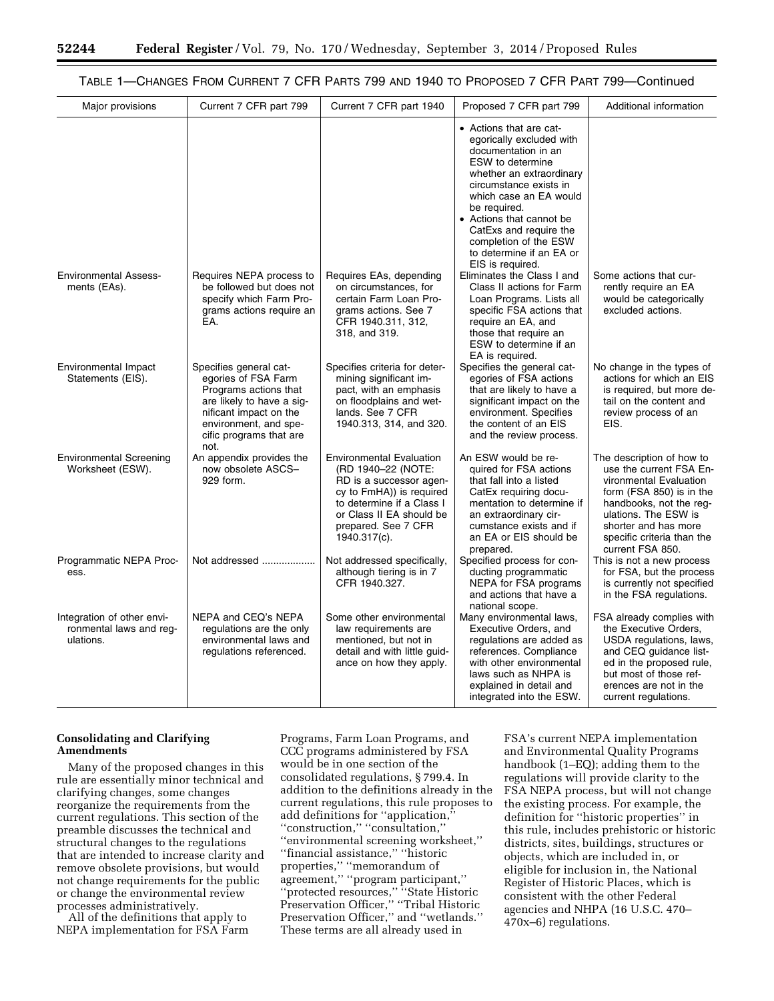# TABLE 1—CHANGES FROM CURRENT 7 CFR PARTS 799 AND 1940 TO PROPOSED 7 CFR PART 799—Continued

| Major provisions                                                   | Current 7 CFR part 799                                                                                                                                                                    | Current 7 CFR part 1940                                                                                                                                                                                      | Proposed 7 CFR part 799                                                                                                                                                                                                                                                                                                              | Additional information                                                                                                                                                                                                                  |
|--------------------------------------------------------------------|-------------------------------------------------------------------------------------------------------------------------------------------------------------------------------------------|--------------------------------------------------------------------------------------------------------------------------------------------------------------------------------------------------------------|--------------------------------------------------------------------------------------------------------------------------------------------------------------------------------------------------------------------------------------------------------------------------------------------------------------------------------------|-----------------------------------------------------------------------------------------------------------------------------------------------------------------------------------------------------------------------------------------|
|                                                                    |                                                                                                                                                                                           |                                                                                                                                                                                                              | • Actions that are cat-<br>egorically excluded with<br>documentation in an<br><b>ESW</b> to determine<br>whether an extraordinary<br>circumstance exists in<br>which case an EA would<br>be required.<br>• Actions that cannot be<br>CatExs and require the<br>completion of the ESW<br>to determine if an EA or<br>EIS is required. |                                                                                                                                                                                                                                         |
| <b>Environmental Assess-</b><br>ments (EAs).                       | Requires NEPA process to<br>be followed but does not<br>specify which Farm Pro-<br>grams actions require an<br>EA.                                                                        | Requires EAs, depending<br>on circumstances, for<br>certain Farm Loan Pro-<br>grams actions. See 7<br>CFR 1940.311, 312,<br>318, and 319.                                                                    | Eliminates the Class I and<br>Class II actions for Farm<br>Loan Programs. Lists all<br>specific FSA actions that<br>require an EA, and<br>those that require an<br>ESW to determine if an<br>EA is required.                                                                                                                         | Some actions that cur-<br>rently require an EA<br>would be categorically<br>excluded actions.                                                                                                                                           |
| Environmental Impact<br>Statements (EIS).                          | Specifies general cat-<br>egories of FSA Farm<br>Programs actions that<br>are likely to have a sig-<br>nificant impact on the<br>environment, and spe-<br>cific programs that are<br>not. | Specifies criteria for deter-<br>mining significant im-<br>pact, with an emphasis<br>on floodplains and wet-<br>lands. See 7 CFR<br>1940.313, 314, and 320.                                                  | Specifies the general cat-<br>egories of FSA actions<br>that are likely to have a<br>significant impact on the<br>environment. Specifies<br>the content of an EIS<br>and the review process.                                                                                                                                         | No change in the types of<br>actions for which an EIS<br>is required, but more de-<br>tail on the content and<br>review process of an<br>EIS.                                                                                           |
| <b>Environmental Screening</b><br>Worksheet (ESW).                 | An appendix provides the<br>now obsolete ASCS-<br>929 form.                                                                                                                               | <b>Environmental Evaluation</b><br>(RD 1940-22 (NOTE:<br>RD is a successor agen-<br>cy to FmHA)) is required<br>to determine if a Class I<br>or Class II EA should be<br>prepared. See 7 CFR<br>1940.317(c). | An ESW would be re-<br>quired for FSA actions<br>that fall into a listed<br>CatEx requiring docu-<br>mentation to determine if<br>an extraordinary cir-<br>cumstance exists and if<br>an EA or EIS should be<br>prepared.                                                                                                            | The description of how to<br>use the current FSA En-<br>vironmental Evaluation<br>form (FSA 850) is in the<br>handbooks, not the reg-<br>ulations. The ESW is<br>shorter and has more<br>specific criteria than the<br>current FSA 850. |
| Programmatic NEPA Proc-<br>ess.                                    | Not addressed                                                                                                                                                                             | Not addressed specifically,<br>although tiering is in 7<br>CFR 1940.327.                                                                                                                                     | Specified process for con-<br>ducting programmatic<br>NEPA for FSA programs<br>and actions that have a<br>national scope.                                                                                                                                                                                                            | This is not a new process<br>for FSA, but the process<br>is currently not specified<br>in the FSA regulations.                                                                                                                          |
| Integration of other envi-<br>ronmental laws and reg-<br>ulations. | NEPA and CEQ's NEPA<br>regulations are the only<br>environmental laws and<br>regulations referenced.                                                                                      | Some other environmental<br>law requirements are<br>mentioned, but not in<br>detail and with little guid-<br>ance on how they apply.                                                                         | Many environmental laws,<br>Executive Orders, and<br>regulations are added as<br>references. Compliance<br>with other environmental<br>laws such as NHPA is<br>explained in detail and<br>integrated into the ESW.                                                                                                                   | FSA already complies with<br>the Executive Orders,<br>USDA regulations, laws,<br>and CEQ guidance list-<br>ed in the proposed rule,<br>but most of those ref-<br>erences are not in the<br>current regulations.                         |

# **Consolidating and Clarifying Amendments**

Many of the proposed changes in this rule are essentially minor technical and clarifying changes, some changes reorganize the requirements from the current regulations. This section of the preamble discusses the technical and structural changes to the regulations that are intended to increase clarity and remove obsolete provisions, but would not change requirements for the public or change the environmental review processes administratively.

All of the definitions that apply to NEPA implementation for FSA Farm Programs, Farm Loan Programs, and CCC programs administered by FSA would be in one section of the consolidated regulations, § 799.4. In addition to the definitions already in the current regulations, this rule proposes to add definitions for ''application,'' ''construction,'' ''consultation,'' ''environmental screening worksheet,'' ''financial assistance,'' ''historic properties,'' ''memorandum of agreement,'' ''program participant,'' ''protected resources,'' ''State Historic Preservation Officer,'' ''Tribal Historic Preservation Officer,'' and ''wetlands.'' These terms are all already used in

FSA's current NEPA implementation and Environmental Quality Programs handbook (1–EQ); adding them to the regulations will provide clarity to the FSA NEPA process, but will not change the existing process. For example, the definition for ''historic properties'' in this rule, includes prehistoric or historic districts, sites, buildings, structures or objects, which are included in, or eligible for inclusion in, the National Register of Historic Places, which is consistent with the other Federal agencies and NHPA (16 U.S.C. 470– 470x–6) regulations.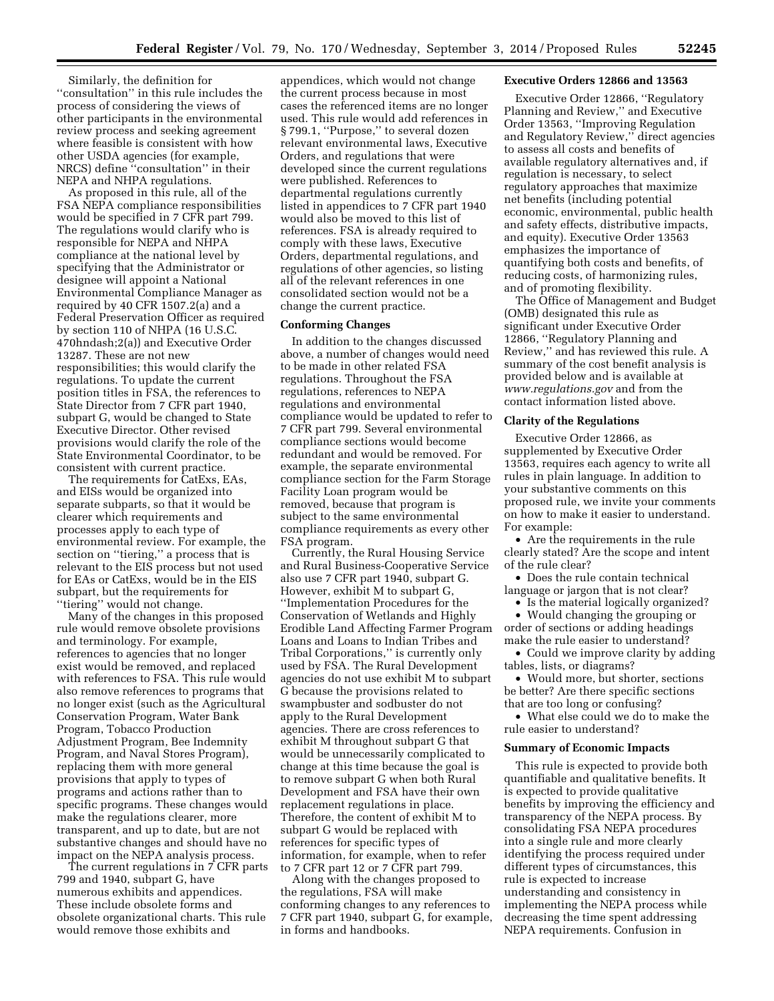Similarly, the definition for ''consultation'' in this rule includes the process of considering the views of other participants in the environmental review process and seeking agreement where feasible is consistent with how other USDA agencies (for example, NRCS) define ''consultation'' in their NEPA and NHPA regulations.

As proposed in this rule, all of the FSA NEPA compliance responsibilities would be specified in 7 CFR part 799. The regulations would clarify who is responsible for NEPA and NHPA compliance at the national level by specifying that the Administrator or designee will appoint a National Environmental Compliance Manager as required by 40 CFR 1507.2(a) and a Federal Preservation Officer as required by section 110 of NHPA (16 U.S.C. 470hndash;2(a)) and Executive Order 13287. These are not new responsibilities; this would clarify the regulations. To update the current position titles in FSA, the references to State Director from 7 CFR part 1940, subpart G, would be changed to State Executive Director. Other revised provisions would clarify the role of the State Environmental Coordinator, to be consistent with current practice.

The requirements for CatExs, EAs, and EISs would be organized into separate subparts, so that it would be clearer which requirements and processes apply to each type of environmental review. For example, the section on ''tiering,'' a process that is relevant to the EIS process but not used for EAs or CatExs, would be in the EIS subpart, but the requirements for ''tiering'' would not change.

Many of the changes in this proposed rule would remove obsolete provisions and terminology. For example, references to agencies that no longer exist would be removed, and replaced with references to FSA. This rule would also remove references to programs that no longer exist (such as the Agricultural Conservation Program, Water Bank Program, Tobacco Production Adjustment Program, Bee Indemnity Program, and Naval Stores Program), replacing them with more general provisions that apply to types of programs and actions rather than to specific programs. These changes would make the regulations clearer, more transparent, and up to date, but are not substantive changes and should have no impact on the NEPA analysis process.

The current regulations in 7 CFR parts 799 and 1940, subpart G, have numerous exhibits and appendices. These include obsolete forms and obsolete organizational charts. This rule would remove those exhibits and

appendices, which would not change the current process because in most cases the referenced items are no longer used. This rule would add references in § 799.1, "Purpose," to several dozen relevant environmental laws, Executive Orders, and regulations that were developed since the current regulations were published. References to departmental regulations currently listed in appendices to 7 CFR part 1940 would also be moved to this list of references. FSA is already required to comply with these laws, Executive Orders, departmental regulations, and regulations of other agencies, so listing all of the relevant references in one consolidated section would not be a change the current practice.

#### **Conforming Changes**

In addition to the changes discussed above, a number of changes would need to be made in other related FSA regulations. Throughout the FSA regulations, references to NEPA regulations and environmental compliance would be updated to refer to 7 CFR part 799. Several environmental compliance sections would become redundant and would be removed. For example, the separate environmental compliance section for the Farm Storage Facility Loan program would be removed, because that program is subject to the same environmental compliance requirements as every other FSA program.

Currently, the Rural Housing Service and Rural Business-Cooperative Service also use 7 CFR part 1940, subpart G. However, exhibit M to subpart G, ''Implementation Procedures for the Conservation of Wetlands and Highly Erodible Land Affecting Farmer Program Loans and Loans to Indian Tribes and Tribal Corporations,'' is currently only used by FSA. The Rural Development agencies do not use exhibit M to subpart G because the provisions related to swampbuster and sodbuster do not apply to the Rural Development agencies. There are cross references to exhibit M throughout subpart G that would be unnecessarily complicated to change at this time because the goal is to remove subpart G when both Rural Development and FSA have their own replacement regulations in place. Therefore, the content of exhibit M to subpart G would be replaced with references for specific types of information, for example, when to refer to 7 CFR part 12 or 7 CFR part 799.

Along with the changes proposed to the regulations, FSA will make conforming changes to any references to 7 CFR part 1940, subpart G, for example, in forms and handbooks.

#### **Executive Orders 12866 and 13563**

Executive Order 12866, ''Regulatory Planning and Review,'' and Executive Order 13563, ''Improving Regulation and Regulatory Review,'' direct agencies to assess all costs and benefits of available regulatory alternatives and, if regulation is necessary, to select regulatory approaches that maximize net benefits (including potential economic, environmental, public health and safety effects, distributive impacts, and equity). Executive Order 13563 emphasizes the importance of quantifying both costs and benefits, of reducing costs, of harmonizing rules, and of promoting flexibility.

The Office of Management and Budget (OMB) designated this rule as significant under Executive Order 12866, ''Regulatory Planning and Review,'' and has reviewed this rule. A summary of the cost benefit analysis is provided below and is available at *[www.regulations.gov](http://www.regulations.gov)* and from the contact information listed above.

#### **Clarity of the Regulations**

Executive Order 12866, as supplemented by Executive Order 13563, requires each agency to write all rules in plain language. In addition to your substantive comments on this proposed rule, we invite your comments on how to make it easier to understand. For example:

• Are the requirements in the rule clearly stated? Are the scope and intent of the rule clear?

• Does the rule contain technical language or jargon that is not clear?

• Is the material logically organized?

• Would changing the grouping or order of sections or adding headings make the rule easier to understand?

• Could we improve clarity by adding tables, lists, or diagrams?

• Would more, but shorter, sections be better? Are there specific sections that are too long or confusing?

• What else could we do to make the rule easier to understand?

## **Summary of Economic Impacts**

This rule is expected to provide both quantifiable and qualitative benefits. It is expected to provide qualitative benefits by improving the efficiency and transparency of the NEPA process. By consolidating FSA NEPA procedures into a single rule and more clearly identifying the process required under different types of circumstances, this rule is expected to increase understanding and consistency in implementing the NEPA process while decreasing the time spent addressing NEPA requirements. Confusion in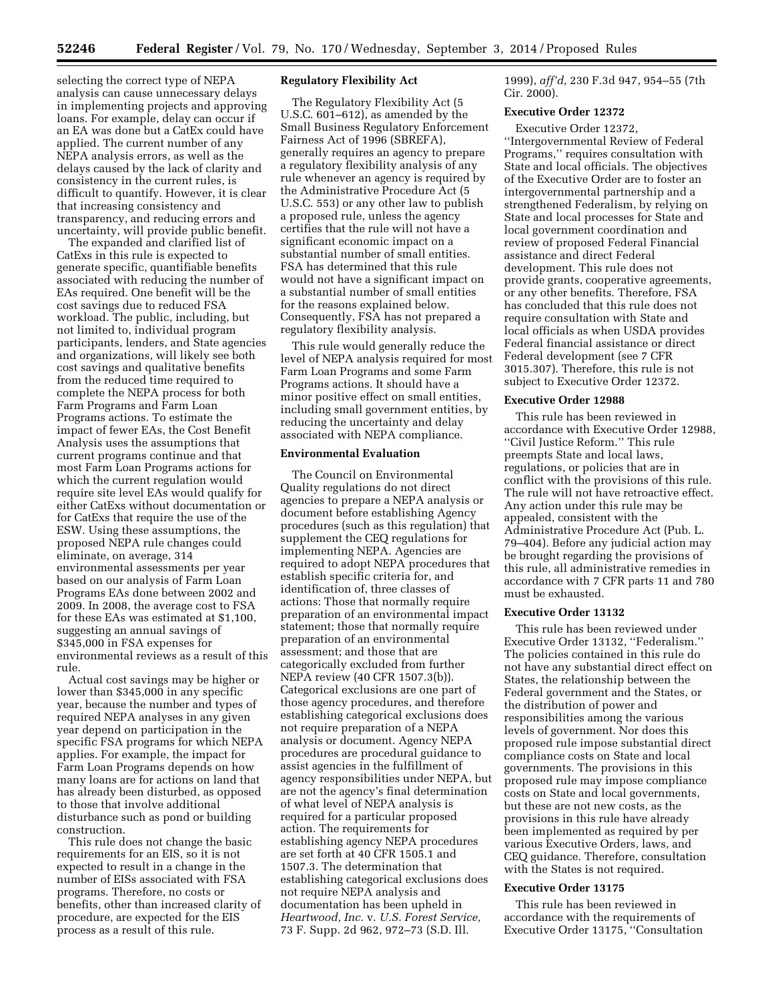selecting the correct type of NEPA analysis can cause unnecessary delays in implementing projects and approving loans. For example, delay can occur if an EA was done but a CatEx could have applied. The current number of any NEPA analysis errors, as well as the delays caused by the lack of clarity and consistency in the current rules, is difficult to quantify. However, it is clear that increasing consistency and transparency, and reducing errors and uncertainty, will provide public benefit.

The expanded and clarified list of CatExs in this rule is expected to generate specific, quantifiable benefits associated with reducing the number of EAs required. One benefit will be the cost savings due to reduced FSA workload. The public, including, but not limited to, individual program participants, lenders, and State agencies and organizations, will likely see both cost savings and qualitative benefits from the reduced time required to complete the NEPA process for both Farm Programs and Farm Loan Programs actions. To estimate the impact of fewer EAs, the Cost Benefit Analysis uses the assumptions that current programs continue and that most Farm Loan Programs actions for which the current regulation would require site level EAs would qualify for either CatExs without documentation or for CatExs that require the use of the ESW. Using these assumptions, the proposed NEPA rule changes could eliminate, on average, 314 environmental assessments per year based on our analysis of Farm Loan Programs EAs done between 2002 and 2009. In 2008, the average cost to FSA for these EAs was estimated at \$1,100, suggesting an annual savings of \$345,000 in FSA expenses for environmental reviews as a result of this rule.

Actual cost savings may be higher or lower than \$345,000 in any specific year, because the number and types of required NEPA analyses in any given year depend on participation in the specific FSA programs for which NEPA applies. For example, the impact for Farm Loan Programs depends on how many loans are for actions on land that has already been disturbed, as opposed to those that involve additional disturbance such as pond or building construction.

This rule does not change the basic requirements for an EIS, so it is not expected to result in a change in the number of EISs associated with FSA programs. Therefore, no costs or benefits, other than increased clarity of procedure, are expected for the EIS process as a result of this rule.

# **Regulatory Flexibility Act**

The Regulatory Flexibility Act (5 U.S.C. 601–612), as amended by the Small Business Regulatory Enforcement Fairness Act of 1996 (SBREFA), generally requires an agency to prepare a regulatory flexibility analysis of any rule whenever an agency is required by the Administrative Procedure Act (5 U.S.C. 553) or any other law to publish a proposed rule, unless the agency certifies that the rule will not have a significant economic impact on a substantial number of small entities. FSA has determined that this rule would not have a significant impact on a substantial number of small entities for the reasons explained below. Consequently, FSA has not prepared a regulatory flexibility analysis.

This rule would generally reduce the level of NEPA analysis required for most Farm Loan Programs and some Farm Programs actions. It should have a minor positive effect on small entities, including small government entities, by reducing the uncertainty and delay associated with NEPA compliance.

#### **Environmental Evaluation**

The Council on Environmental Quality regulations do not direct agencies to prepare a NEPA analysis or document before establishing Agency procedures (such as this regulation) that supplement the CEQ regulations for implementing NEPA. Agencies are required to adopt NEPA procedures that establish specific criteria for, and identification of, three classes of actions: Those that normally require preparation of an environmental impact statement; those that normally require preparation of an environmental assessment; and those that are categorically excluded from further NEPA review (40 CFR 1507.3(b)). Categorical exclusions are one part of those agency procedures, and therefore establishing categorical exclusions does not require preparation of a NEPA analysis or document. Agency NEPA procedures are procedural guidance to assist agencies in the fulfillment of agency responsibilities under NEPA, but are not the agency's final determination of what level of NEPA analysis is required for a particular proposed action. The requirements for establishing agency NEPA procedures are set forth at 40 CFR 1505.1 and 1507.3. The determination that establishing categorical exclusions does not require NEPA analysis and documentation has been upheld in *Heartwood, Inc.* v. *U.S. Forest Service,*  73 F. Supp. 2d 962, 972–73 (S.D. Ill.

1999), *aff'd,* 230 F.3d 947, 954–55 (7th Cir. 2000).

## **Executive Order 12372**

Executive Order 12372, ''Intergovernmental Review of Federal Programs,'' requires consultation with State and local officials. The objectives of the Executive Order are to foster an intergovernmental partnership and a strengthened Federalism, by relying on State and local processes for State and local government coordination and review of proposed Federal Financial assistance and direct Federal development. This rule does not provide grants, cooperative agreements, or any other benefits. Therefore, FSA has concluded that this rule does not require consultation with State and local officials as when USDA provides Federal financial assistance or direct Federal development (see 7 CFR 3015.307). Therefore, this rule is not subject to Executive Order 12372.

#### **Executive Order 12988**

This rule has been reviewed in accordance with Executive Order 12988, ''Civil Justice Reform.'' This rule preempts State and local laws, regulations, or policies that are in conflict with the provisions of this rule. The rule will not have retroactive effect. Any action under this rule may be appealed, consistent with the Administrative Procedure Act (Pub. L. 79–404). Before any judicial action may be brought regarding the provisions of this rule, all administrative remedies in accordance with 7 CFR parts 11 and 780 must be exhausted.

#### **Executive Order 13132**

This rule has been reviewed under Executive Order 13132, ''Federalism.'' The policies contained in this rule do not have any substantial direct effect on States, the relationship between the Federal government and the States, or the distribution of power and responsibilities among the various levels of government. Nor does this proposed rule impose substantial direct compliance costs on State and local governments. The provisions in this proposed rule may impose compliance costs on State and local governments, but these are not new costs, as the provisions in this rule have already been implemented as required by per various Executive Orders, laws, and CEQ guidance. Therefore, consultation with the States is not required.

## **Executive Order 13175**

This rule has been reviewed in accordance with the requirements of Executive Order 13175, ''Consultation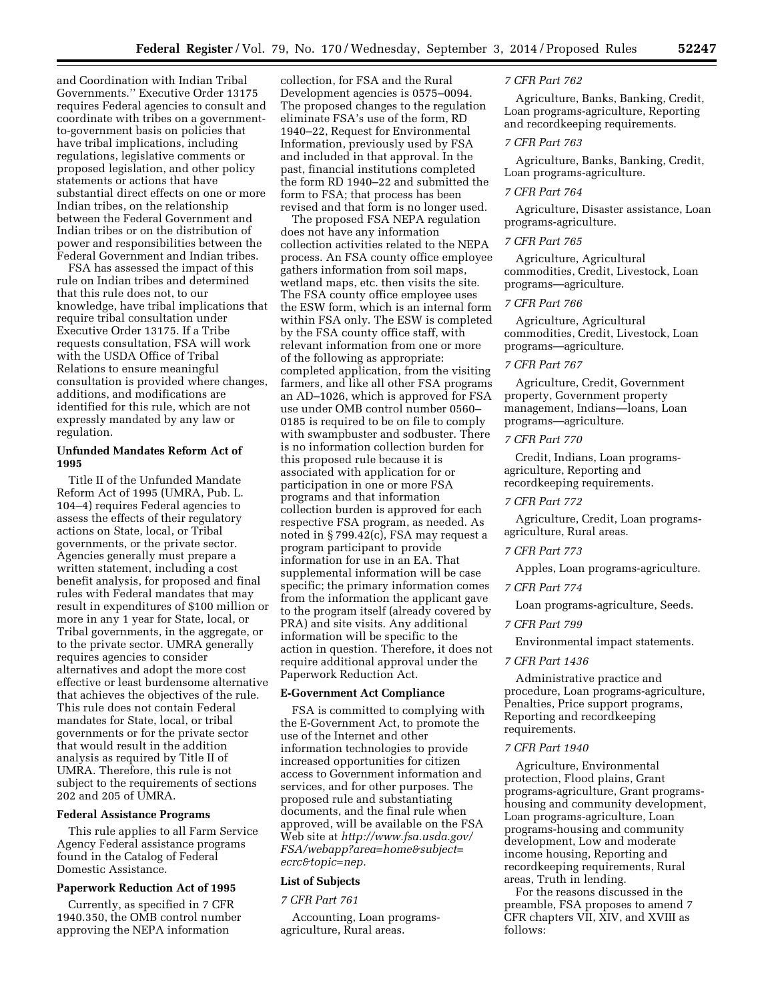and Coordination with Indian Tribal Governments.'' Executive Order 13175 requires Federal agencies to consult and coordinate with tribes on a governmentto-government basis on policies that have tribal implications, including regulations, legislative comments or proposed legislation, and other policy statements or actions that have substantial direct effects on one or more Indian tribes, on the relationship between the Federal Government and Indian tribes or on the distribution of power and responsibilities between the Federal Government and Indian tribes.

FSA has assessed the impact of this rule on Indian tribes and determined that this rule does not, to our knowledge, have tribal implications that require tribal consultation under Executive Order 13175. If a Tribe requests consultation, FSA will work with the USDA Office of Tribal Relations to ensure meaningful consultation is provided where changes, additions, and modifications are identified for this rule, which are not expressly mandated by any law or regulation.

# **Unfunded Mandates Reform Act of 1995**

Title II of the Unfunded Mandate Reform Act of 1995 (UMRA, Pub. L. 104–4) requires Federal agencies to assess the effects of their regulatory actions on State, local, or Tribal governments, or the private sector. Agencies generally must prepare a written statement, including a cost benefit analysis, for proposed and final rules with Federal mandates that may result in expenditures of \$100 million or more in any 1 year for State, local, or Tribal governments, in the aggregate, or to the private sector. UMRA generally requires agencies to consider alternatives and adopt the more cost effective or least burdensome alternative that achieves the objectives of the rule. This rule does not contain Federal mandates for State, local, or tribal governments or for the private sector that would result in the addition analysis as required by Title II of UMRA. Therefore, this rule is not subject to the requirements of sections 202 and 205 of UMRA.

#### **Federal Assistance Programs**

This rule applies to all Farm Service Agency Federal assistance programs found in the Catalog of Federal Domestic Assistance.

## **Paperwork Reduction Act of 1995**

Currently, as specified in 7 CFR 1940.350, the OMB control number approving the NEPA information

collection, for FSA and the Rural Development agencies is 0575–0094. The proposed changes to the regulation eliminate FSA's use of the form, RD 1940–22, Request for Environmental Information, previously used by FSA and included in that approval. In the past, financial institutions completed the form RD 1940–22 and submitted the form to FSA; that process has been revised and that form is no longer used.

The proposed FSA NEPA regulation does not have any information collection activities related to the NEPA process. An FSA county office employee gathers information from soil maps, wetland maps, etc. then visits the site. The FSA county office employee uses the ESW form, which is an internal form within FSA only. The ESW is completed by the FSA county office staff, with relevant information from one or more of the following as appropriate: completed application, from the visiting farmers, and like all other FSA programs an AD–1026, which is approved for FSA use under OMB control number 0560– 0185 is required to be on file to comply with swampbuster and sodbuster. There is no information collection burden for this proposed rule because it is associated with application for or participation in one or more FSA programs and that information collection burden is approved for each respective FSA program, as needed. As noted in § 799.42(c), FSA may request a program participant to provide information for use in an EA. That supplemental information will be case specific; the primary information comes from the information the applicant gave to the program itself (already covered by PRA) and site visits. Any additional information will be specific to the action in question. Therefore, it does not require additional approval under the Paperwork Reduction Act.

#### **E-Government Act Compliance**

FSA is committed to complying with the E-Government Act, to promote the use of the Internet and other information technologies to provide increased opportunities for citizen access to Government information and services, and for other purposes. The proposed rule and substantiating documents, and the final rule when approved, will be available on the FSA Web site at *[http://www.fsa.usda.gov/](http://www.fsa.usda.gov/FSA/webapp?area=home&subject=ecrc&topic=nep) [FSA/webapp?area=home&subject=](http://www.fsa.usda.gov/FSA/webapp?area=home&subject=ecrc&topic=nep) [ecrc&topic=nep.](http://www.fsa.usda.gov/FSA/webapp?area=home&subject=ecrc&topic=nep)* 

# **List of Subjects**

*7 CFR Part 761* 

Accounting, Loan programsagriculture, Rural areas.

### *7 CFR Part 762*

Agriculture, Banks, Banking, Credit, Loan programs-agriculture, Reporting and recordkeeping requirements.

# *7 CFR Part 763*

Agriculture, Banks, Banking, Credit, Loan programs-agriculture.

#### *7 CFR Part 764*

Agriculture, Disaster assistance, Loan programs-agriculture.

#### *7 CFR Part 765*

Agriculture, Agricultural commodities, Credit, Livestock, Loan programs—agriculture.

#### *7 CFR Part 766*

Agriculture, Agricultural commodities, Credit, Livestock, Loan programs—agriculture.

# *7 CFR Part 767*

Agriculture, Credit, Government property, Government property management, Indians—loans, Loan programs—agriculture.

## *7 CFR Part 770*

Credit, Indians, Loan programsagriculture, Reporting and recordkeeping requirements.

# *7 CFR Part 772*

Agriculture, Credit, Loan programsagriculture, Rural areas.

#### *7 CFR Part 773*

Apples, Loan programs-agriculture.

#### *7 CFR Part 774*

Loan programs-agriculture, Seeds.

# *7 CFR Part 799*

Environmental impact statements.

# *7 CFR Part 1436*

Administrative practice and procedure, Loan programs-agriculture, Penalties, Price support programs, Reporting and recordkeeping requirements.

#### *7 CFR Part 1940*

Agriculture, Environmental protection, Flood plains, Grant programs-agriculture, Grant programshousing and community development, Loan programs-agriculture, Loan programs-housing and community development, Low and moderate income housing, Reporting and recordkeeping requirements, Rural areas, Truth in lending.

For the reasons discussed in the preamble, FSA proposes to amend 7 CFR chapters VII, XIV, and XVIII as follows: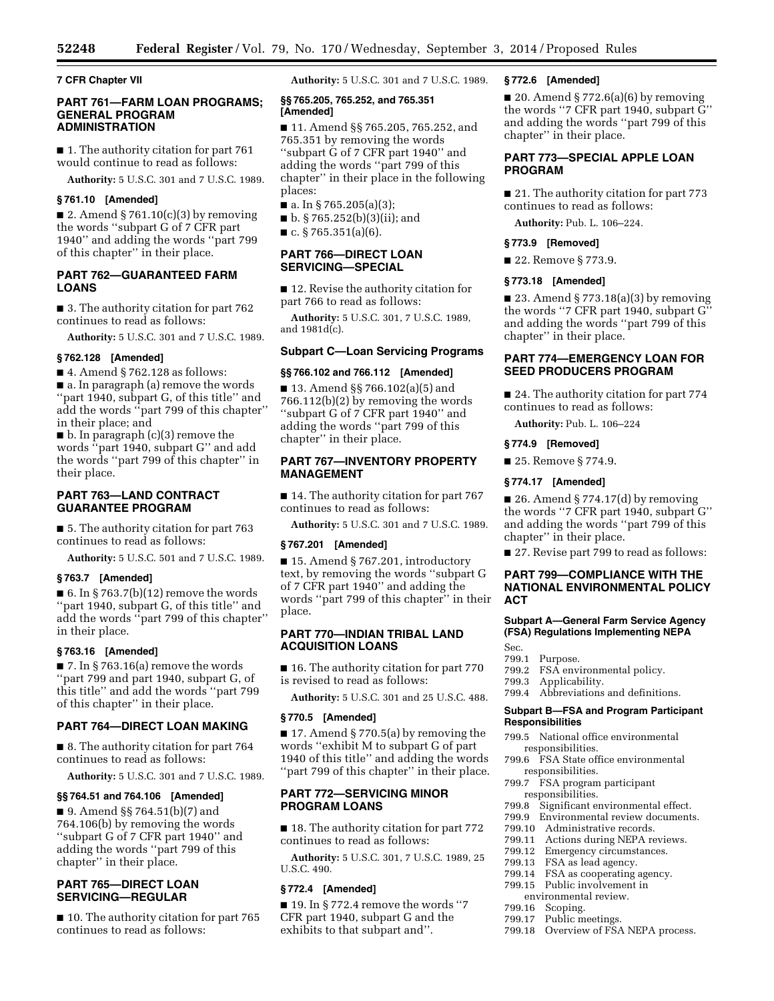**7 CFR Chapter VII** 

# **PART 761—FARM LOAN PROGRAMS; GENERAL PROGRAM ADMINISTRATION**

■ 1. The authority citation for part 761 would continue to read as follows:

**Authority:** 5 U.S.C. 301 and 7 U.S.C. 1989.

# **§ 761.10 [Amended]**

 $\blacksquare$  2. Amend § 761.10(c)(3) by removing the words ''subpart G of 7 CFR part 1940'' and adding the words ''part 799 of this chapter'' in their place.

# **PART 762—GUARANTEED FARM LOANS**

■ 3. The authority citation for part 762 continues to read as follows:

**Authority:** 5 U.S.C. 301 and 7 U.S.C. 1989.

#### **§ 762.128 [Amended]**

■ 4. Amend § 762.128 as follows: ■ a. In paragraph (a) remove the words ''part 1940, subpart G, of this title'' and add the words ''part 799 of this chapter'' in their place; and

■ b. In paragraph (c)(3) remove the words ''part 1940, subpart G'' and add the words ''part 799 of this chapter'' in their place.

# **PART 763—LAND CONTRACT GUARANTEE PROGRAM**

■ 5. The authority citation for part 763 continues to read as follows:

**Authority:** 5 U.S.C. 501 and 7 U.S.C. 1989.

#### **§ 763.7 [Amended]**

■ 6. In § 763.7(b)(12) remove the words ''part 1940, subpart G, of this title'' and add the words ''part 799 of this chapter'' in their place.

# **§ 763.16 [Amended]**

 $\blacksquare$  7. In § 763.16(a) remove the words ''part 799 and part 1940, subpart G, of this title'' and add the words ''part 799 of this chapter'' in their place.

#### **PART 764—DIRECT LOAN MAKING**

■ 8. The authority citation for part 764 continues to read as follows:

**Authority:** 5 U.S.C. 301 and 7 U.S.C. 1989.

#### **§§ 764.51 and 764.106 [Amended]**

■ 9. Amend §§ 764.51(b)(7) and 764.106(b) by removing the words ''subpart G of 7 CFR part 1940'' and adding the words ''part 799 of this chapter'' in their place.

# **PART 765—DIRECT LOAN SERVICING—REGULAR**

■ 10. The authority citation for part 765 continues to read as follows:

**Authority:** 5 U.S.C. 301 and 7 U.S.C. 1989.

#### **§§ 765.205, 765.252, and 765.351 [Amended]**

■ 11. Amend §§ 765.205, 765.252, and 765.351 by removing the words ''subpart G of 7 CFR part 1940'' and adding the words ''part 799 of this chapter'' in their place in the following places:

- a. In § 765.205(a)(3);
- b. § 765.252(b)(3)(ii); and
- c. § 765.351(a)(6).

# **PART 766—DIRECT LOAN SERVICING—SPECIAL**

■ 12. Revise the authority citation for part 766 to read as follows:

**Authority:** 5 U.S.C. 301, 7 U.S.C. 1989, and 1981d(c).

## **Subpart C—Loan Servicing Programs**

# **§§ 766.102 and 766.112 [Amended]**

■ 13. Amend §§ 766.102(a)(5) and 766.112(b)(2) by removing the words ''subpart G of 7 CFR part 1940'' and adding the words ''part 799 of this chapter'' in their place.

# **PART 767—INVENTORY PROPERTY MANAGEMENT**

■ 14. The authority citation for part 767 continues to read as follows:

**Authority:** 5 U.S.C. 301 and 7 U.S.C. 1989.

#### **§ 767.201 [Amended]**

■ 15. Amend § 767.201, introductory text, by removing the words ''subpart G of 7 CFR part 1940'' and adding the words ''part 799 of this chapter'' in their place.

# **PART 770—INDIAN TRIBAL LAND ACQUISITION LOANS**

■ 16. The authority citation for part 770 is revised to read as follows:

**Authority:** 5 U.S.C. 301 and 25 U.S.C. 488.

#### **§ 770.5 [Amended]**

■ 17. Amend § 770.5(a) by removing the words ''exhibit M to subpart G of part 1940 of this title'' and adding the words "part 799 of this chapter" in their place.

# **PART 772—SERVICING MINOR PROGRAM LOANS**

■ 18. The authority citation for part 772 continues to read as follows:

**Authority:** 5 U.S.C. 301, 7 U.S.C. 1989, 25 U.S.C. 490.

## **§ 772.4 [Amended]**

 $\blacksquare$  19. In § 772.4 remove the words "7 CFR part 1940, subpart G and the exhibits to that subpart and''.

#### **§ 772.6 [Amended]**

■ 20. Amend § 772.6(a)(6) by removing the words ''7 CFR part 1940, subpart G'' and adding the words ''part 799 of this chapter'' in their place.

# **PART 773—SPECIAL APPLE LOAN PROGRAM**

■ 21. The authority citation for part 773 continues to read as follows:

**Authority:** Pub. L. 106–224.

### **§ 773.9 [Removed]**

■ 22. Remove § 773.9.

#### **§ 773.18 [Amended]**

■ 23. Amend § 773.18(a)(3) by removing the words ''7 CFR part 1940, subpart G'' and adding the words ''part 799 of this chapter'' in their place.

#### **PART 774—EMERGENCY LOAN FOR SEED PRODUCERS PROGRAM**

■ 24. The authority citation for part 774 continues to read as follows:

**Authority:** Pub. L. 106–224

#### **§ 774.9 [Removed]**

■ 25. Remove § 774.9.

**§ 774.17 [Amended]** 

■ 26. Amend § 774.17(d) by removing the words ''7 CFR part 1940, subpart G'' and adding the words ''part 799 of this chapter'' in their place.

■ 27. Revise part 799 to read as follows:

# **PART 799—COMPLIANCE WITH THE NATIONAL ENVIRONMENTAL POLICY ACT**

## **Subpart A—General Farm Service Agency (FSA) Regulations Implementing NEPA**

Sec.

- 799.1 Purpose.
- 799.2 FSA environmental policy.
- 799.3 Applicability.
- 799.4 Abbreviations and definitions.

#### **Subpart B—FSA and Program Participant Responsibilities**

- 799.5 National office environmental responsibilities.
- 799.6 FSA State office environmental responsibilities.
- 799.7 FSA program participant responsibilities.<br>799.8 Significant e
- Significant environmental effect.
- 799.9 Environmental review documents.
- 799.10 Administrative records.<br>799.11 Actions during NEPA re
- Actions during NEPA reviews.
- 799.12 Emergency circumstances.<br>799.13 FSA as lead agency
- 
- 799.13 FSA as lead agency.<br>799.14 FSA as cooperating FSA as cooperating agency.
- 799.15 Public involvement in
- environmental review.
- 799.16 Scoping.
- 799.17 Public meetings.
- 799.18 Overview of FSA NEPA process.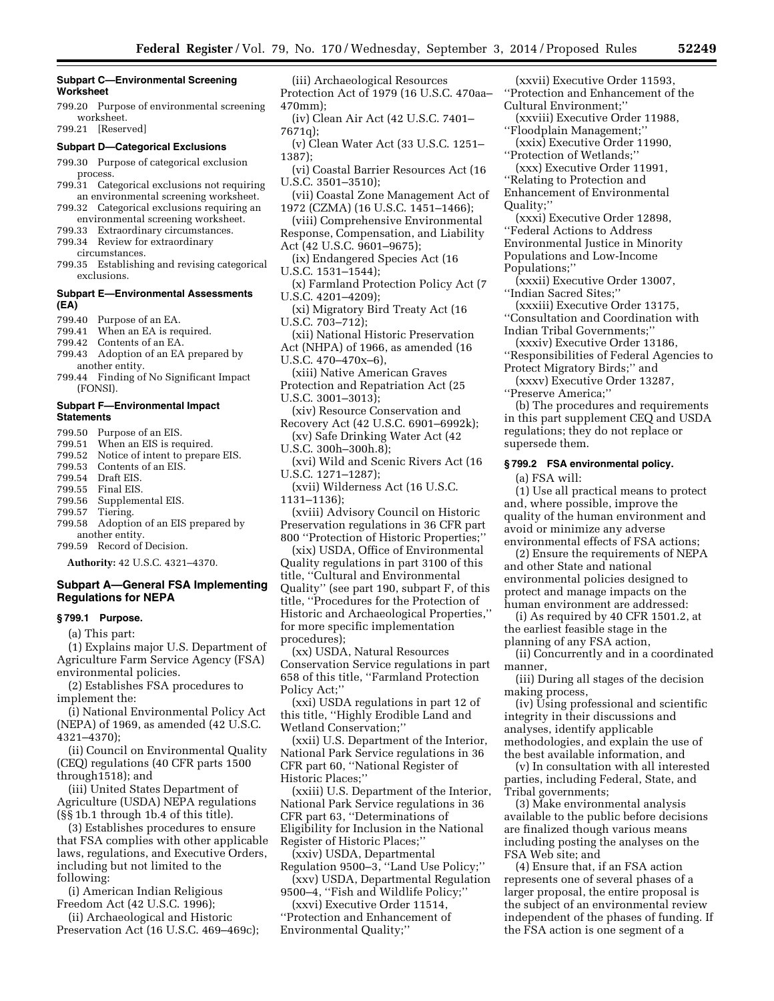## **Subpart C—Environmental Screening Worksheet**

799.20 Purpose of environmental screening worksheet.

799.21 [Reserved]

## **Subpart D—Categorical Exclusions**

- 799.30 Purpose of categorical exclusion process.
- 799.31 Categorical exclusions not requiring an environmental screening worksheet.
- 799.32 Categorical exclusions requiring an environmental screening worksheet.
- 799.33 Extraordinary circumstances.
- 799.34 Review for extraordinary circumstances.
- 799.35 Establishing and revising categorical exclusions.

## **Subpart E—Environmental Assessments (EA)**

- 799.40 Purpose of an EA.<br>799.41 When an EA is req
- When an EA is required.
- 799.42 Contents of an EA.
- 799.43 Adoption of an EA prepared by another entity.
- 799.44 Finding of No Significant Impact (FONSI).

## **Subpart F—Environmental Impact Statements**

- 799.50 Purpose of an EIS.
- When an EIS is required.
- 799.52 Notice of intent to prepare EIS. 799.53 Contents of an EIS.
- 799.54 Draft EIS.
- 799.55 Final EIS.
- 799.56 Supplemental EIS.
- 
- 799.57 Tiering.
- 799.58 Adoption of an EIS prepared by another entity.
- 799.59 Record of Decision.

**Authority:** 42 U.S.C. 4321–4370.

# **Subpart A—General FSA Implementing Regulations for NEPA**

### **§ 799.1 Purpose.**

(a) This part:

(1) Explains major U.S. Department of Agriculture Farm Service Agency (FSA) environmental policies.

(2) Establishes FSA procedures to implement the:

(i) National Environmental Policy Act (NEPA) of 1969, as amended (42 U.S.C. 4321–4370);

(ii) Council on Environmental Quality (CEQ) regulations (40 CFR parts 1500 through1518); and

(iii) United States Department of Agriculture (USDA) NEPA regulations (§§ 1b.1 through 1b.4 of this title).

(3) Establishes procedures to ensure that FSA complies with other applicable laws, regulations, and Executive Orders, including but not limited to the following:

(i) American Indian Religious Freedom Act (42 U.S.C. 1996);

(ii) Archaeological and Historic Preservation Act (16 U.S.C. 469–469c);

(iii) Archaeological Resources Protection Act of 1979 (16 U.S.C. 470aa– 470mm);

- (iv) Clean Air Act (42 U.S.C. 7401– 7671q);
- (v) Clean Water Act (33 U.S.C. 1251– 1387);
- (vi) Coastal Barrier Resources Act (16 U.S.C. 3501–3510);
- (vii) Coastal Zone Management Act of 1972 (CZMA) (16 U.S.C. 1451–1466);
- (viii) Comprehensive Environmental Response, Compensation, and Liability
- Act (42 U.S.C. 9601–9675);
- (ix) Endangered Species Act (16 U.S.C. 1531–1544);
- (x) Farmland Protection Policy Act (7 U.S.C. 4201–4209);
- (xi) Migratory Bird Treaty Act (16 U.S.C. 703–712);
- (xii) National Historic Preservation
- Act (NHPA) of 1966, as amended (16 U.S.C. 470–470x–6),
- (xiii) Native American Graves
- Protection and Repatriation Act (25 U.S.C. 3001–3013);
- (xiv) Resource Conservation and
- Recovery Act (42 U.S.C. 6901–6992k); (xv) Safe Drinking Water Act (42
- U.S.C. 300h–300h.8);
- (xvi) Wild and Scenic Rivers Act (16 U.S.C. 1271–1287);
- (xvii) Wilderness Act (16 U.S.C.
- 1131–1136);

(xviii) Advisory Council on Historic Preservation regulations in 36 CFR part 800 ''Protection of Historic Properties;''

(xix) USDA, Office of Environmental Quality regulations in part 3100 of this title, ''Cultural and Environmental Quality'' (see part 190, subpart F, of this title, ''Procedures for the Protection of Historic and Archaeological Properties,'' for more specific implementation procedures);

(xx) USDA, Natural Resources Conservation Service regulations in part 658 of this title, ''Farmland Protection Policy Act;''

(xxi) USDA regulations in part 12 of this title, ''Highly Erodible Land and Wetland Conservation;''

(xxii) U.S. Department of the Interior, National Park Service regulations in 36 CFR part 60, ''National Register of Historic Places;''

(xxiii) U.S. Department of the Interior, National Park Service regulations in 36 CFR part 63, ''Determinations of Eligibility for Inclusion in the National Register of Historic Places;''

(xxiv) USDA, Departmental Regulation 9500–3, ''Land Use Policy;''

(xxv) USDA, Departmental Regulation 9500–4, ''Fish and Wildlife Policy;''

(xxvi) Executive Order 11514,

''Protection and Enhancement of Environmental Quality;''

(xxvii) Executive Order 11593, ''Protection and Enhancement of the Cultural Environment;''

- (xxviii) Executive Order 11988, ''Floodplain Management;''
- (xxix) Executive Order 11990,
- ''Protection of Wetlands;'' (xxx) Executive Order 11991,
- ''Relating to Protection and Enhancement of Environmental

Quality;''

(xxxi) Executive Order 12898, ''Federal Actions to Address Environmental Justice in Minority Populations and Low-Income Populations;''

(xxxii) Executive Order 13007, ''Indian Sacred Sites;''

(xxxiii) Executive Order 13175,

''Consultation and Coordination with Indian Tribal Governments;''

(xxxiv) Executive Order 13186, ''Responsibilities of Federal Agencies to

Protect Migratory Birds;'' and

(xxxv) Executive Order 13287, ''Preserve America;''

(b) The procedures and requirements in this part supplement CEQ and USDA regulations; they do not replace or supersede them.

## **§ 799.2 FSA environmental policy.**

(a) FSA will:

(1) Use all practical means to protect and, where possible, improve the quality of the human environment and avoid or minimize any adverse environmental effects of FSA actions;

(2) Ensure the requirements of NEPA and other State and national environmental policies designed to protect and manage impacts on the human environment are addressed:

(i) As required by 40 CFR 1501.2, at the earliest feasible stage in the planning of any FSA action,

(ii) Concurrently and in a coordinated manner,

(iii) During all stages of the decision making process,

(iv) Using professional and scientific integrity in their discussions and analyses, identify applicable methodologies, and explain the use of the best available information, and

(v) In consultation with all interested parties, including Federal, State, and Tribal governments;

(3) Make environmental analysis available to the public before decisions are finalized though various means including posting the analyses on the FSA Web site; and

(4) Ensure that, if an FSA action represents one of several phases of a larger proposal, the entire proposal is the subject of an environmental review independent of the phases of funding. If the FSA action is one segment of a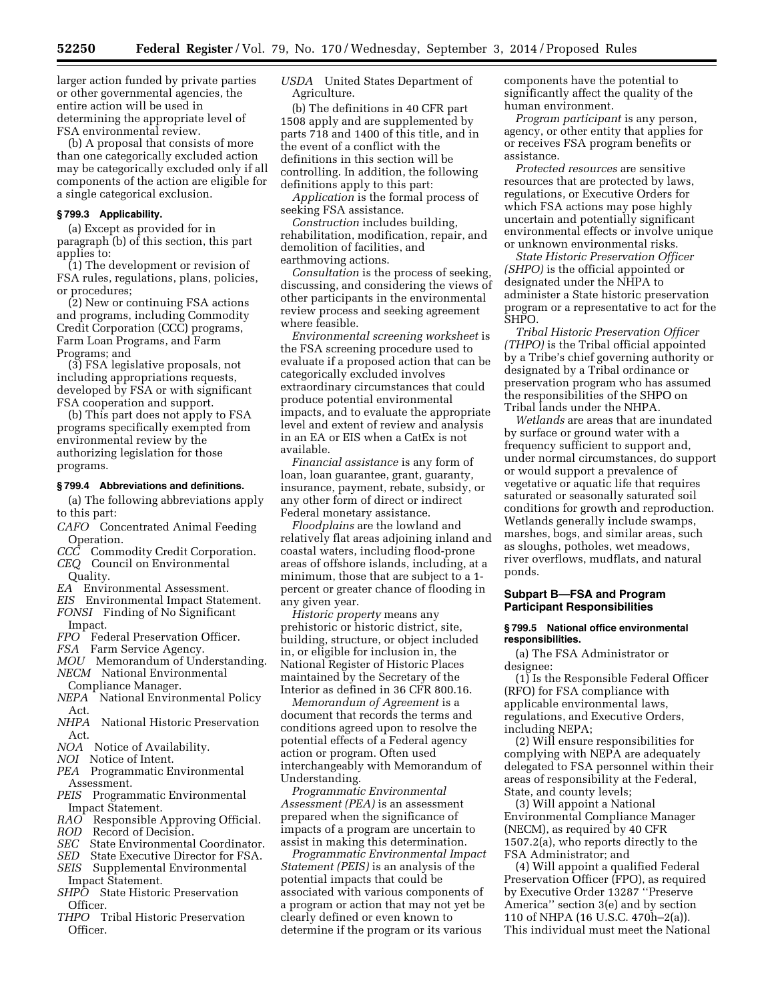larger action funded by private parties or other governmental agencies, the entire action will be used in determining the appropriate level of FSA environmental review.

(b) A proposal that consists of more than one categorically excluded action may be categorically excluded only if all components of the action are eligible for a single categorical exclusion.

## **§ 799.3 Applicability.**

(a) Except as provided for in paragraph (b) of this section, this part applies to:

(1) The development or revision of FSA rules, regulations, plans, policies, or procedures;

(2) New or continuing FSA actions and programs, including Commodity Credit Corporation (CCC) programs, Farm Loan Programs, and Farm Programs; and

(3) FSA legislative proposals, not including appropriations requests, developed by FSA or with significant FSA cooperation and support.

(b) This part does not apply to FSA programs specifically exempted from environmental review by the authorizing legislation for those programs.

## **§ 799.4 Abbreviations and definitions.**

(a) The following abbreviations apply to this part:

- *CAFO* Concentrated Animal Feeding Operation.
- *CCC* Commodity Credit Corporation. *CEQ* Council on Environmental
- Quality. *EA* Environmental Assessment.
- *EIS* Environmental Impact Statement.
- *FONSI* Finding of No Significant Impact.
- *FPO* Federal Preservation Officer.
- *FSA* Farm Service Agency.
- *MOU* Memorandum of Understanding.
- *NECM* National Environmental Compliance Manager.
- *NEPA* National Environmental Policy Act.
- *NHPA* National Historic Preservation Act.
- *NOA* Notice of Availability.
- *NOI* Notice of Intent.
- *PEA* Programmatic Environmental Assessment.
- *PEIS* Programmatic Environmental Impact Statement.
- *RAO* Responsible Approving Official.
- *ROD* Record of Decision.
- *SEC* State Environmental Coordinator.
- *SED* State Executive Director for FSA.
- *SEIS* Supplemental Environmental
- Impact Statement. *SHPO* State Historic Preservation
- Officer.
- *THPO* Tribal Historic Preservation Officer.

*USDA* United States Department of Agriculture.

(b) The definitions in 40 CFR part 1508 apply and are supplemented by parts 718 and 1400 of this title, and in the event of a conflict with the definitions in this section will be controlling. In addition, the following definitions apply to this part:

*Application* is the formal process of seeking FSA assistance.

*Construction* includes building, rehabilitation, modification, repair, and demolition of facilities, and earthmoving actions.

*Consultation* is the process of seeking, discussing, and considering the views of other participants in the environmental review process and seeking agreement where feasible.

*Environmental screening worksheet* is the FSA screening procedure used to evaluate if a proposed action that can be categorically excluded involves extraordinary circumstances that could produce potential environmental impacts, and to evaluate the appropriate level and extent of review and analysis in an EA or EIS when a CatEx is not available.

*Financial assistance* is any form of loan, loan guarantee, grant, guaranty, insurance, payment, rebate, subsidy, or any other form of direct or indirect Federal monetary assistance.

*Floodplains* are the lowland and relatively flat areas adjoining inland and coastal waters, including flood-prone areas of offshore islands, including, at a minimum, those that are subject to a 1 percent or greater chance of flooding in any given year.

*Historic property* means any prehistoric or historic district, site, building, structure, or object included in, or eligible for inclusion in, the National Register of Historic Places maintained by the Secretary of the Interior as defined in 36 CFR 800.16.

*Memorandum of Agreement* is a document that records the terms and conditions agreed upon to resolve the potential effects of a Federal agency action or program. Often used interchangeably with Memorandum of Understanding.

*Programmatic Environmental Assessment (PEA)* is an assessment prepared when the significance of impacts of a program are uncertain to assist in making this determination.

*Programmatic Environmental Impact Statement (PEIS)* is an analysis of the potential impacts that could be associated with various components of a program or action that may not yet be clearly defined or even known to determine if the program or its various

components have the potential to significantly affect the quality of the human environment.

*Program participant* is any person, agency, or other entity that applies for or receives FSA program benefits or assistance.

*Protected resources* are sensitive resources that are protected by laws, regulations, or Executive Orders for which FSA actions may pose highly uncertain and potentially significant environmental effects or involve unique or unknown environmental risks.

*State Historic Preservation Officer (SHPO)* is the official appointed or designated under the NHPA to administer a State historic preservation program or a representative to act for the SHPO.

*Tribal Historic Preservation Officer (THPO)* is the Tribal official appointed by a Tribe's chief governing authority or designated by a Tribal ordinance or preservation program who has assumed the responsibilities of the SHPO on Tribal lands under the NHPA.

*Wetlands* are areas that are inundated by surface or ground water with a frequency sufficient to support and, under normal circumstances, do support or would support a prevalence of vegetative or aquatic life that requires saturated or seasonally saturated soil conditions for growth and reproduction. Wetlands generally include swamps, marshes, bogs, and similar areas, such as sloughs, potholes, wet meadows, river overflows, mudflats, and natural ponds.

# **Subpart B—FSA and Program Participant Responsibilities**

#### **§ 799.5 National office environmental responsibilities.**

(a) The FSA Administrator or designee:

(1) Is the Responsible Federal Officer (RFO) for FSA compliance with applicable environmental laws, regulations, and Executive Orders, including NEPA;

(2) Will ensure responsibilities for complying with NEPA are adequately delegated to FSA personnel within their areas of responsibility at the Federal, State, and county levels;

(3) Will appoint a National Environmental Compliance Manager (NECM), as required by 40 CFR 1507.2(a), who reports directly to the FSA Administrator; and

(4) Will appoint a qualified Federal Preservation Officer (FPO), as required by Executive Order 13287 ''Preserve America'' section 3(e) and by section 110 of NHPA (16 U.S.C. 470h–2(a)). This individual must meet the National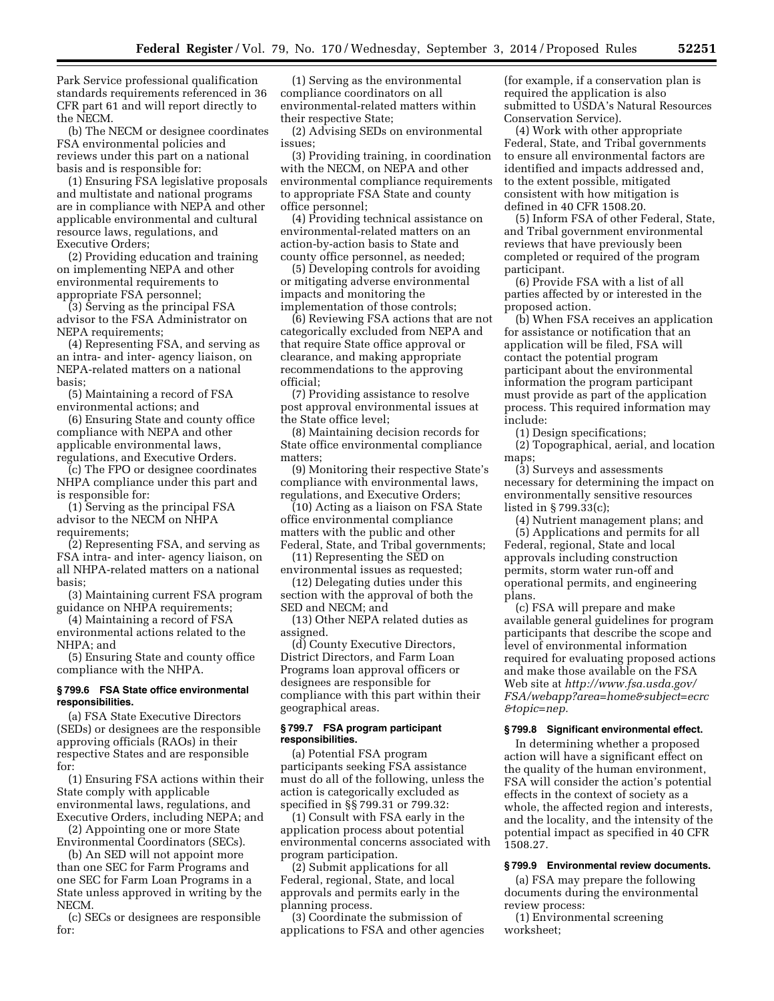Park Service professional qualification standards requirements referenced in 36 CFR part 61 and will report directly to the NECM.

(b) The NECM or designee coordinates FSA environmental policies and reviews under this part on a national basis and is responsible for:

(1) Ensuring FSA legislative proposals and multistate and national programs are in compliance with NEPA and other applicable environmental and cultural resource laws, regulations, and Executive Orders;

(2) Providing education and training on implementing NEPA and other environmental requirements to appropriate FSA personnel;

(3) Serving as the principal FSA advisor to the FSA Administrator on NEPA requirements;

(4) Representing FSA, and serving as an intra- and inter- agency liaison, on NEPA-related matters on a national basis;

(5) Maintaining a record of FSA environmental actions; and

(6) Ensuring State and county office compliance with NEPA and other applicable environmental laws, regulations, and Executive Orders.

(c) The FPO or designee coordinates NHPA compliance under this part and is responsible for:

(1) Serving as the principal FSA advisor to the NECM on NHPA requirements;

(2) Representing FSA, and serving as FSA intra- and inter- agency liaison, on all NHPA-related matters on a national basis;

(3) Maintaining current FSA program guidance on NHPA requirements;

(4) Maintaining a record of FSA environmental actions related to the NHPA; and

(5) Ensuring State and county office compliance with the NHPA.

## **§ 799.6 FSA State office environmental responsibilities.**

(a) FSA State Executive Directors (SEDs) or designees are the responsible approving officials (RAOs) in their respective States and are responsible for:

(1) Ensuring FSA actions within their State comply with applicable environmental laws, regulations, and Executive Orders, including NEPA; and

(2) Appointing one or more State Environmental Coordinators (SECs).

(b) An SED will not appoint more than one SEC for Farm Programs and one SEC for Farm Loan Programs in a State unless approved in writing by the NECM.

(c) SECs or designees are responsible for:

(1) Serving as the environmental compliance coordinators on all environmental-related matters within their respective State;

(2) Advising SEDs on environmental issues;

(3) Providing training, in coordination with the NECM, on NEPA and other environmental compliance requirements to appropriate FSA State and county office personnel;

(4) Providing technical assistance on environmental-related matters on an action-by-action basis to State and county office personnel, as needed;

(5) Developing controls for avoiding or mitigating adverse environmental impacts and monitoring the implementation of those controls;

(6) Reviewing FSA actions that are not categorically excluded from NEPA and that require State office approval or clearance, and making appropriate recommendations to the approving official;

(7) Providing assistance to resolve post approval environmental issues at the State office level;

(8) Maintaining decision records for State office environmental compliance matters;

(9) Monitoring their respective State's compliance with environmental laws, regulations, and Executive Orders;

(10) Acting as a liaison on FSA State office environmental compliance matters with the public and other Federal, State, and Tribal governments;

(11) Representing the SED on environmental issues as requested;

(12) Delegating duties under this section with the approval of both the SED and NECM; and

(13) Other NEPA related duties as assigned.

(d) County Executive Directors, District Directors, and Farm Loan Programs loan approval officers or designees are responsible for compliance with this part within their geographical areas.

# **§ 799.7 FSA program participant responsibilities.**

(a) Potential FSA program participants seeking FSA assistance must do all of the following, unless the action is categorically excluded as specified in §§ 799.31 or 799.32:

(1) Consult with FSA early in the application process about potential environmental concerns associated with program participation.

(2) Submit applications for all Federal, regional, State, and local approvals and permits early in the planning process.

(3) Coordinate the submission of applications to FSA and other agencies

(for example, if a conservation plan is required the application is also submitted to USDA's Natural Resources Conservation Service).

(4) Work with other appropriate Federal, State, and Tribal governments to ensure all environmental factors are identified and impacts addressed and, to the extent possible, mitigated consistent with how mitigation is defined in 40 CFR 1508.20.

(5) Inform FSA of other Federal, State, and Tribal government environmental reviews that have previously been completed or required of the program participant.

(6) Provide FSA with a list of all parties affected by or interested in the proposed action.

(b) When FSA receives an application for assistance or notification that an application will be filed, FSA will contact the potential program participant about the environmental information the program participant must provide as part of the application process. This required information may include:

(1) Design specifications;

(2) Topographical, aerial, and location maps;

(3) Surveys and assessments necessary for determining the impact on environmentally sensitive resources listed in § 799.33(c);

(4) Nutrient management plans; and (5) Applications and permits for all Federal, regional, State and local approvals including construction permits, storm water run-off and operational permits, and engineering plans.

(c) FSA will prepare and make available general guidelines for program participants that describe the scope and level of environmental information required for evaluating proposed actions and make those available on the FSA Web site at *[http://www.fsa.usda.gov/](http://www.fsa.usda.gov/FSA/webapp?area=home&subject=ecrc&topic=nep) [FSA/webapp?area=home&subject=ecrc](http://www.fsa.usda.gov/FSA/webapp?area=home&subject=ecrc&topic=nep) [&topic=nep.](http://www.fsa.usda.gov/FSA/webapp?area=home&subject=ecrc&topic=nep)* 

#### **§ 799.8 Significant environmental effect.**

In determining whether a proposed action will have a significant effect on the quality of the human environment, FSA will consider the action's potential effects in the context of society as a whole, the affected region and interests, and the locality, and the intensity of the potential impact as specified in 40 CFR 1508.27.

#### **§ 799.9 Environmental review documents.**

(a) FSA may prepare the following documents during the environmental review process:

(1) Environmental screening worksheet;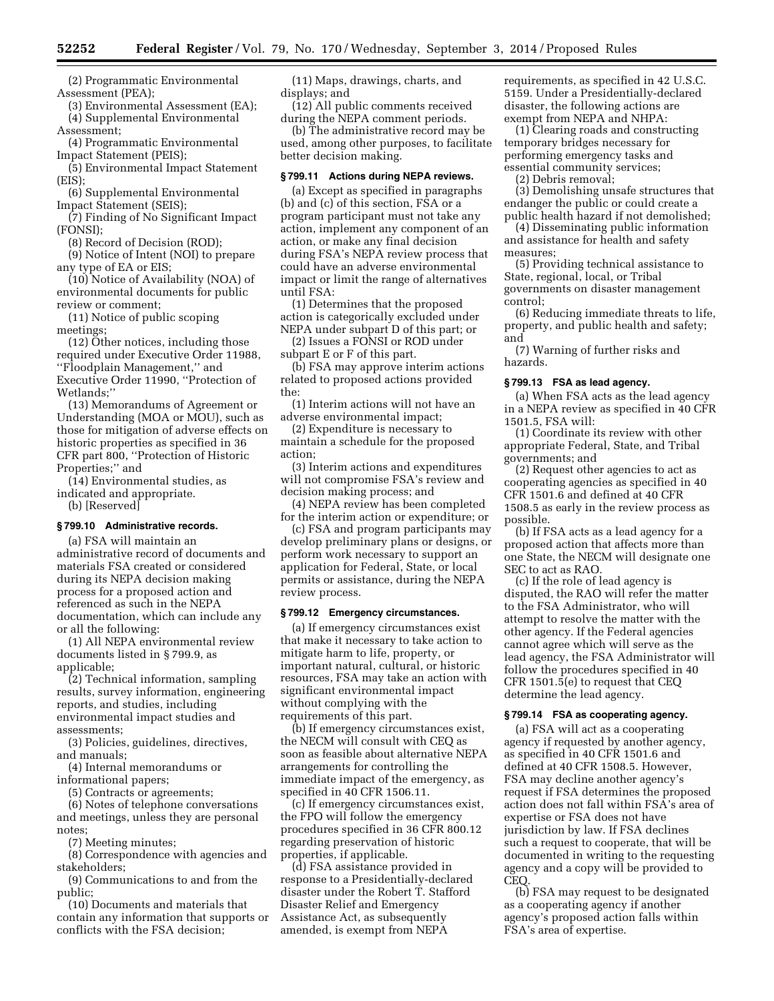(2) Programmatic Environmental Assessment (PEA);

(3) Environmental Assessment (EA); (4) Supplemental Environmental Assessment;

(4) Programmatic Environmental Impact Statement (PEIS);

(5) Environmental Impact Statement (EIS);

(6) Supplemental Environmental Impact Statement (SEIS);

(7) Finding of No Significant Impact (FONSI);

(8) Record of Decision (ROD);

(9) Notice of Intent (NOI) to prepare any type of EA or EIS;

(10) Notice of Availability (NOA) of environmental documents for public review or comment;

(11) Notice of public scoping meetings;

(12) Other notices, including those required under Executive Order 11988, ''Floodplain Management,'' and Executive Order 11990, ''Protection of Wetlands;''

(13) Memorandums of Agreement or Understanding (MOA or MOU), such as those for mitigation of adverse effects on historic properties as specified in 36 CFR part 800, ''Protection of Historic Properties;'' and

(14) Environmental studies, as indicated and appropriate. (b) [Reserved]

#### **§ 799.10 Administrative records.**

(a) FSA will maintain an administrative record of documents and materials FSA created or considered during its NEPA decision making process for a proposed action and referenced as such in the NEPA documentation, which can include any or all the following:

(1) All NEPA environmental review documents listed in § 799.9, as applicable;

(2) Technical information, sampling results, survey information, engineering reports, and studies, including environmental impact studies and assessments;

(3) Policies, guidelines, directives, and manuals;

(4) Internal memorandums or informational papers;

(5) Contracts or agreements;

(6) Notes of telephone conversations and meetings, unless they are personal notes;

(7) Meeting minutes;

(8) Correspondence with agencies and stakeholders;

(9) Communications to and from the public;

(10) Documents and materials that contain any information that supports or conflicts with the FSA decision;

(11) Maps, drawings, charts, and displays; and

(12) All public comments received during the NEPA comment periods.

(b) The administrative record may be used, among other purposes, to facilitate better decision making.

## **§ 799.11 Actions during NEPA reviews.**

(a) Except as specified in paragraphs (b) and (c) of this section, FSA or a program participant must not take any action, implement any component of an action, or make any final decision during FSA's NEPA review process that could have an adverse environmental impact or limit the range of alternatives until FSA:

(1) Determines that the proposed action is categorically excluded under NEPA under subpart D of this part; or

(2) Issues a FONSI or ROD under subpart E or F of this part.

(b) FSA may approve interim actions related to proposed actions provided the:

(1) Interim actions will not have an adverse environmental impact;

(2) Expenditure is necessary to maintain a schedule for the proposed action;

(3) Interim actions and expenditures will not compromise FSA's review and decision making process; and

(4) NEPA review has been completed for the interim action or expenditure; or

(c) FSA and program participants may develop preliminary plans or designs, or perform work necessary to support an application for Federal, State, or local permits or assistance, during the NEPA review process.

#### **§ 799.12 Emergency circumstances.**

(a) If emergency circumstances exist that make it necessary to take action to mitigate harm to life, property, or important natural, cultural, or historic resources, FSA may take an action with significant environmental impact without complying with the requirements of this part.

(b) If emergency circumstances exist, the NECM will consult with CEQ as soon as feasible about alternative NEPA arrangements for controlling the immediate impact of the emergency, as specified in 40 CFR 1506.11.

(c) If emergency circumstances exist, the FPO will follow the emergency procedures specified in 36 CFR 800.12 regarding preservation of historic properties, if applicable.

(d) FSA assistance provided in response to a Presidentially-declared disaster under the Robert T. Stafford Disaster Relief and Emergency Assistance Act, as subsequently amended, is exempt from NEPA

requirements, as specified in 42 U.S.C. 5159. Under a Presidentially-declared disaster, the following actions are exempt from NEPA and NHPA:

(1) Clearing roads and constructing temporary bridges necessary for performing emergency tasks and essential community services;

(2) Debris removal;

(3) Demolishing unsafe structures that endanger the public or could create a public health hazard if not demolished;

(4) Disseminating public information and assistance for health and safety measures;

(5) Providing technical assistance to State, regional, local, or Tribal governments on disaster management control;

(6) Reducing immediate threats to life, property, and public health and safety; and

(7) Warning of further risks and hazards.

#### **§ 799.13 FSA as lead agency.**

(a) When FSA acts as the lead agency in a NEPA review as specified in 40 CFR 1501.5, FSA will:

(1) Coordinate its review with other appropriate Federal, State, and Tribal governments; and

(2) Request other agencies to act as cooperating agencies as specified in 40 CFR 1501.6 and defined at 40 CFR 1508.5 as early in the review process as possible.

(b) If FSA acts as a lead agency for a proposed action that affects more than one State, the NECM will designate one SEC to act as RAO.

(c) If the role of lead agency is disputed, the RAO will refer the matter to the FSA Administrator, who will attempt to resolve the matter with the other agency. If the Federal agencies cannot agree which will serve as the lead agency, the FSA Administrator will follow the procedures specified in 40 CFR 1501.5(e) to request that CEQ determine the lead agency.

# **§ 799.14 FSA as cooperating agency.**

(a) FSA will act as a cooperating agency if requested by another agency, as specified in 40 CFR 1501.6 and defined at 40 CFR 1508.5. However, FSA may decline another agency's request if FSA determines the proposed action does not fall within FSA's area of expertise or FSA does not have jurisdiction by law. If FSA declines such a request to cooperate, that will be documented in writing to the requesting agency and a copy will be provided to CEQ.

(b) FSA may request to be designated as a cooperating agency if another agency's proposed action falls within FSA's area of expertise.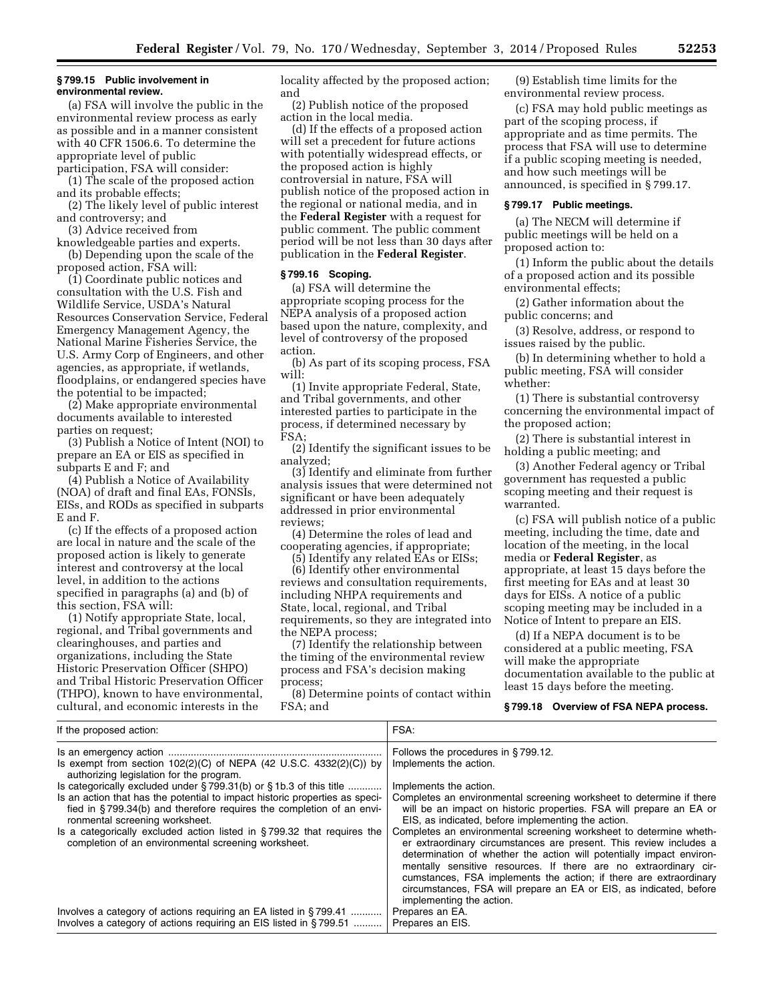#### **§ 799.15 Public involvement in environmental review.**

(a) FSA will involve the public in the environmental review process as early as possible and in a manner consistent with 40 CFR 1506.6. To determine the appropriate level of public

participation, FSA will consider: (1) The scale of the proposed action and its probable effects;

(2) The likely level of public interest and controversy; and

(3) Advice received from

knowledgeable parties and experts. (b) Depending upon the scale of the proposed action, FSA will:

(1) Coordinate public notices and consultation with the U.S. Fish and Wildlife Service, USDA's Natural Resources Conservation Service, Federal Emergency Management Agency, the National Marine Fisheries Service, the U.S. Army Corp of Engineers, and other agencies, as appropriate, if wetlands, floodplains, or endangered species have the potential to be impacted;

(2) Make appropriate environmental documents available to interested parties on request;

(3) Publish a Notice of Intent (NOI) to prepare an EA or EIS as specified in subparts E and F; and

(4) Publish a Notice of Availability (NOA) of draft and final EAs, FONSIs, EISs, and RODs as specified in subparts E and F.

(c) If the effects of a proposed action are local in nature and the scale of the proposed action is likely to generate interest and controversy at the local level, in addition to the actions specified in paragraphs (a) and (b) of this section, FSA will:

(1) Notify appropriate State, local, regional, and Tribal governments and clearinghouses, and parties and organizations, including the State Historic Preservation Officer (SHPO) and Tribal Historic Preservation Officer (THPO), known to have environmental, cultural, and economic interests in the

If the proposed action:  $F_{\mathbf{S}}(t) = \begin{bmatrix} 1 & 0 & 0 \\ 0 & 0 & 0 \\ 0 & 0 & 0 \end{bmatrix}$ 

locality affected by the proposed action; and

(2) Publish notice of the proposed action in the local media.

(d) If the effects of a proposed action will set a precedent for future actions with potentially widespread effects, or the proposed action is highly controversial in nature, FSA will publish notice of the proposed action in the regional or national media, and in the **Federal Register** with a request for public comment. The public comment period will be not less than 30 days after publication in the **Federal Register**.

## **§ 799.16 Scoping.**

(a) FSA will determine the appropriate scoping process for the NEPA analysis of a proposed action based upon the nature, complexity, and level of controversy of the proposed action.

(b) As part of its scoping process, FSA will:

(1) Invite appropriate Federal, State, and Tribal governments, and other interested parties to participate in the process, if determined necessary by FSA;

(2) Identify the significant issues to be analyzed;

(3) Identify and eliminate from further analysis issues that were determined not significant or have been adequately addressed in prior environmental reviews;

(4) Determine the roles of lead and cooperating agencies, if appropriate;

(5) Identify any related EAs or EISs;

(6) Identify other environmental reviews and consultation requirements, including NHPA requirements and State, local, regional, and Tribal requirements, so they are integrated into the NEPA process;

(7) Identify the relationship between the timing of the environmental review process and FSA's decision making process;

(8) Determine points of contact within FSA; and

(9) Establish time limits for the environmental review process.

(c) FSA may hold public meetings as part of the scoping process, if appropriate and as time permits. The process that FSA will use to determine if a public scoping meeting is needed, and how such meetings will be announced, is specified in § 799.17.

## **§ 799.17 Public meetings.**

(a) The NECM will determine if public meetings will be held on a proposed action to:

(1) Inform the public about the details of a proposed action and its possible environmental effects;

(2) Gather information about the public concerns; and

(3) Resolve, address, or respond to issues raised by the public.

(b) In determining whether to hold a public meeting, FSA will consider whether:

(1) There is substantial controversy concerning the environmental impact of the proposed action;

(2) There is substantial interest in holding a public meeting; and

(3) Another Federal agency or Tribal government has requested a public scoping meeting and their request is warranted.

(c) FSA will publish notice of a public meeting, including the time, date and location of the meeting, in the local media or **Federal Register**, as appropriate, at least 15 days before the first meeting for EAs and at least 30 days for EISs. A notice of a public scoping meeting may be included in a Notice of Intent to prepare an EIS.

(d) If a NEPA document is to be considered at a public meeting, FSA will make the appropriate documentation available to the public at least 15 days before the meeting.

## **§ 799.18 Overview of FSA NEPA process.**

| if the proposed action.                                                                                                                                                               | . הי                                                                                                                                                                                                                                                                                                                                                                                                                                                        |
|---------------------------------------------------------------------------------------------------------------------------------------------------------------------------------------|-------------------------------------------------------------------------------------------------------------------------------------------------------------------------------------------------------------------------------------------------------------------------------------------------------------------------------------------------------------------------------------------------------------------------------------------------------------|
|                                                                                                                                                                                       | Follows the procedures in §799.12.                                                                                                                                                                                                                                                                                                                                                                                                                          |
| Is exempt from section $102(2)(C)$ of NEPA (42 U.S.C. 4332(2)(C)) by<br>authorizing legislation for the program.                                                                      | Implements the action.                                                                                                                                                                                                                                                                                                                                                                                                                                      |
| Is categorically excluded under $\S$ 799.31(b) or $\S$ 1b.3 of this title                                                                                                             | Implements the action.                                                                                                                                                                                                                                                                                                                                                                                                                                      |
| Is an action that has the potential to impact historic properties as speci-<br>fied in §799.34(b) and therefore requires the completion of an envi-<br>ronmental screening worksheet. | Completes an environmental screening worksheet to determine if there<br>will be an impact on historic properties. FSA will prepare an EA or<br>EIS, as indicated, before implementing the action.                                                                                                                                                                                                                                                           |
| Is a categorically excluded action listed in $\S$ 799.32 that requires the<br>completion of an environmental screening worksheet.                                                     | Completes an environmental screening worksheet to determine wheth-<br>er extraordinary circumstances are present. This review includes a<br>determination of whether the action will potentially impact environ-<br>mentally sensitive resources. If there are no extraordinary cir-<br>cumstances, FSA implements the action; if there are extraordinary<br>circumstances, FSA will prepare an EA or EIS, as indicated, before<br>implementing the action. |
| Involves a category of actions requiring an EA listed in §799.41                                                                                                                      | Prepares an EA.                                                                                                                                                                                                                                                                                                                                                                                                                                             |
| Involves a category of actions requiring an EIS listed in §799.51                                                                                                                     | Prepares an EIS.                                                                                                                                                                                                                                                                                                                                                                                                                                            |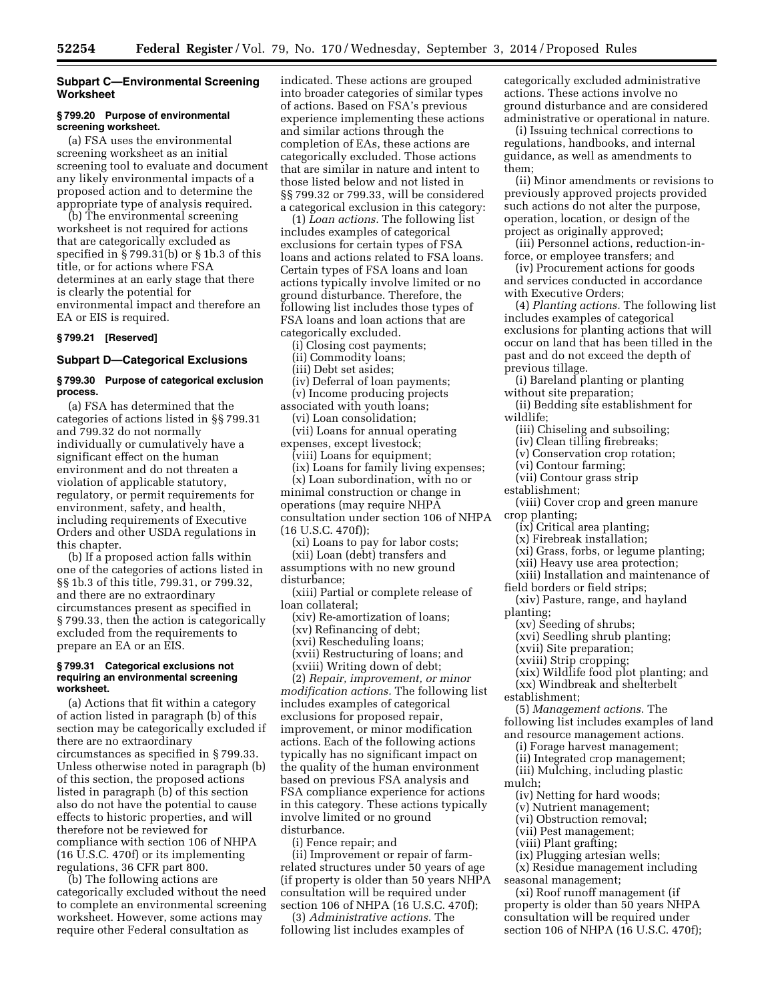# **Subpart C—Environmental Screening Worksheet**

## **§ 799.20 Purpose of environmental screening worksheet.**

(a) FSA uses the environmental screening worksheet as an initial screening tool to evaluate and document any likely environmental impacts of a proposed action and to determine the appropriate type of analysis required.

(b) The environmental screening worksheet is not required for actions that are categorically excluded as specified in § 799.31(b) or § 1b.3 of this title, or for actions where FSA determines at an early stage that there is clearly the potential for environmental impact and therefore an EA or EIS is required.

## **§ 799.21 [Reserved]**

# **Subpart D—Categorical Exclusions**

## **§ 799.30 Purpose of categorical exclusion process.**

(a) FSA has determined that the categories of actions listed in §§ 799.31 and 799.32 do not normally individually or cumulatively have a significant effect on the human environment and do not threaten a violation of applicable statutory, regulatory, or permit requirements for environment, safety, and health, including requirements of Executive Orders and other USDA regulations in this chapter.

(b) If a proposed action falls within one of the categories of actions listed in §§ 1b.3 of this title, 799.31, or 799.32, and there are no extraordinary circumstances present as specified in § 799.33, then the action is categorically excluded from the requirements to prepare an EA or an EIS.

#### **§ 799.31 Categorical exclusions not requiring an environmental screening worksheet.**

(a) Actions that fit within a category of action listed in paragraph (b) of this section may be categorically excluded if there are no extraordinary circumstances as specified in § 799.33. Unless otherwise noted in paragraph (b) of this section, the proposed actions listed in paragraph (b) of this section also do not have the potential to cause effects to historic properties, and will therefore not be reviewed for compliance with section 106 of NHPA (16 U.S.C. 470f) or its implementing regulations, 36 CFR part 800.

(b) The following actions are categorically excluded without the need to complete an environmental screening worksheet. However, some actions may require other Federal consultation as

indicated. These actions are grouped into broader categories of similar types of actions. Based on FSA's previous experience implementing these actions and similar actions through the completion of EAs, these actions are categorically excluded. Those actions that are similar in nature and intent to those listed below and not listed in §§ 799.32 or 799.33, will be considered a categorical exclusion in this category:

(1) *Loan actions.* The following list includes examples of categorical exclusions for certain types of FSA loans and actions related to FSA loans. Certain types of FSA loans and loan actions typically involve limited or no ground disturbance. Therefore, the following list includes those types of FSA loans and loan actions that are categorically excluded.

(i) Closing cost payments;

(ii) Commodity loans;

(iii) Debt set asides;

(iv) Deferral of loan payments; (v) Income producing projects

associated with youth loans; (vi) Loan consolidation;

(vii) Loans for annual operating expenses, except livestock;

(viii) Loans for equipment;

(ix) Loans for family living expenses; (x) Loan subordination, with no or minimal construction or change in operations (may require NHPA

consultation under section 106 of NHPA (16 U.S.C. 470f));

(xi) Loans to pay for labor costs; (xii) Loan (debt) transfers and

assumptions with no new ground disturbance;

(xiii) Partial or complete release of loan collateral;

(xiv) Re-amortization of loans; (xv) Refinancing of debt;

(xvi) Rescheduling loans;

(xvii) Restructuring of loans; and

(xviii) Writing down of debt;

(2) *Repair, improvement, or minor modification actions.* The following list includes examples of categorical exclusions for proposed repair, improvement, or minor modification actions. Each of the following actions typically has no significant impact on the quality of the human environment based on previous FSA analysis and FSA compliance experience for actions in this category. These actions typically involve limited or no ground disturbance.

(i) Fence repair; and

(ii) Improvement or repair of farmrelated structures under 50 years of age (if property is older than 50 years NHPA consultation will be required under section 106 of NHPA (16 U.S.C. 470f);

(3) *Administrative actions.* The following list includes examples of categorically excluded administrative actions. These actions involve no ground disturbance and are considered administrative or operational in nature.

(i) Issuing technical corrections to regulations, handbooks, and internal guidance, as well as amendments to them;

(ii) Minor amendments or revisions to previously approved projects provided such actions do not alter the purpose, operation, location, or design of the project as originally approved;

(iii) Personnel actions, reduction-inforce, or employee transfers; and

(iv) Procurement actions for goods and services conducted in accordance with Executive Orders;

(4) *Planting actions.* The following list includes examples of categorical exclusions for planting actions that will occur on land that has been tilled in the past and do not exceed the depth of previous tillage.

(i) Bareland planting or planting without site preparation;

(ii) Bedding site establishment for wildlife;

(iii) Chiseling and subsoiling;

(iv) Clean tilling firebreaks;

(v) Conservation crop rotation;

(vi) Contour farming;

(vii) Contour grass strip

establishment;

(viii) Cover crop and green manure crop planting;

(ix) Critical area planting;

(x) Firebreak installation;

(xi) Grass, forbs, or legume planting;

(xii) Heavy use area protection;

(xiii) Installation and maintenance of field borders or field strips;

(xiv) Pasture, range, and hayland planting;

(xv) Seeding of shrubs;

(xvi) Seedling shrub planting;

(xvii) Site preparation;

(xviii) Strip cropping;

(xix) Wildlife food plot planting; and

(xx) Windbreak and shelterbelt

establishment;

(5) *Management actions.* The following list includes examples of land and resource management actions.

(i) Forage harvest management;

(ii) Integrated crop management;

(iii) Mulching, including plastic

mulch;

(iv) Netting for hard woods;

(v) Nutrient management;

(vi) Obstruction removal;

(vii) Pest management; (viii) Plant grafting;

(ix) Plugging artesian wells;

(x) Residue management including seasonal management;

(xi) Roof runoff management (if

property is older than 50 years NHPA consultation will be required under section 106 of NHPA (16 U.S.C. 470f);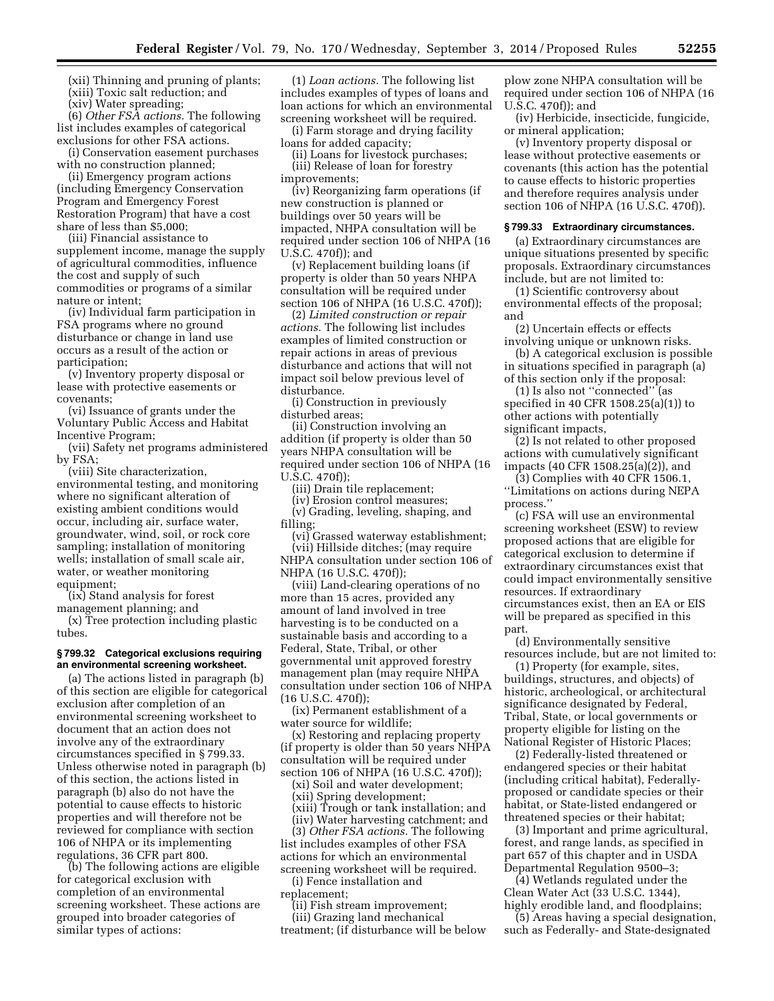(xii) Thinning and pruning of plants; (xiii) Toxic salt reduction; and (xiv) Water spreading;

(6) *Other FSA actions.* The following list includes examples of categorical exclusions for other FSA actions.

(i) Conservation easement purchases with no construction planned;

(ii) Emergency program actions (including Emergency Conservation Program and Emergency Forest Restoration Program) that have a cost share of less than \$5,000;

(iii) Financial assistance to supplement income, manage the supply of agricultural commodities, influence the cost and supply of such commodities or programs of a similar nature or intent;

(iv) Individual farm participation in FSA programs where no ground disturbance or change in land use occurs as a result of the action or participation;

(v) Inventory property disposal or lease with protective easements or covenants;

(vi) Issuance of grants under the Voluntary Public Access and Habitat Incentive Program;

(vii) Safety net programs administered by FSA;

(viii) Site characterization, environmental testing, and monitoring where no significant alteration of existing ambient conditions would occur, including air, surface water, groundwater, wind, soil, or rock core sampling; installation of monitoring wells; installation of small scale air, water, or weather monitoring equipment;

(ix) Stand analysis for forest management planning; and

(x) Tree protection including plastic tubes.

#### **§ 799.32 Categorical exclusions requiring an environmental screening worksheet.**

(a) The actions listed in paragraph (b) of this section are eligible for categorical exclusion after completion of an environmental screening worksheet to document that an action does not involve any of the extraordinary circumstances specified in § 799.33. Unless otherwise noted in paragraph (b) of this section, the actions listed in paragraph (b) also do not have the potential to cause effects to historic properties and will therefore not be reviewed for compliance with section 106 of NHPA or its implementing regulations, 36 CFR part 800.

(b) The following actions are eligible for categorical exclusion with completion of an environmental screening worksheet. These actions are grouped into broader categories of similar types of actions:

(1) *Loan actions.* The following list includes examples of types of loans and loan actions for which an environmental screening worksheet will be required.

(i) Farm storage and drying facility loans for added capacity;

(ii) Loans for livestock purchases; (iii) Release of loan for forestry improvements;

(iv) Reorganizing farm operations (if new construction is planned or buildings over 50 years will be impacted, NHPA consultation will be required under section 106 of NHPA (16 U.S.C. 470f)); and

(v) Replacement building loans (if property is older than 50 years NHPA consultation will be required under section 106 of NHPA (16 U.S.C. 470f));

(2) *Limited construction or repair actions.* The following list includes examples of limited construction or repair actions in areas of previous disturbance and actions that will not impact soil below previous level of disturbance.

(i) Construction in previously disturbed areas;

(ii) Construction involving an addition (if property is older than 50 years NHPA consultation will be required under section 106 of NHPA (16 U.S.C. 470f));

(iii) Drain tile replacement;

(iv) Erosion control measures;

(v) Grading, leveling, shaping, and filling;

(vi) Grassed waterway establishment; (vii) Hillside ditches; (may require NHPA consultation under section 106 of NHPA (16 U.S.C. 470f));

(viii) Land-clearing operations of no more than 15 acres, provided any amount of land involved in tree harvesting is to be conducted on a sustainable basis and according to a Federal, State, Tribal, or other governmental unit approved forestry management plan (may require NHPA consultation under section 106 of NHPA (16 U.S.C. 470f));

(ix) Permanent establishment of a water source for wildlife;

(x) Restoring and replacing property (if property is older than 50 years NHPA consultation will be required under section 106 of NHPA (16 U.S.C. 470f));

(xi) Soil and water development;

(xii) Spring development;

(xiii) Trough or tank installation; and (iiv) Water harvesting catchment; and (3) *Other FSA actions.* The following

list includes examples of other FSA actions for which an environmental screening worksheet will be required.

(i) Fence installation and replacement;

(ii) Fish stream improvement; (iii) Grazing land mechanical

treatment; (if disturbance will be below

plow zone NHPA consultation will be required under section 106 of NHPA (16 U.S.C. 470f)); and

(iv) Herbicide, insecticide, fungicide, or mineral application;

(v) Inventory property disposal or lease without protective easements or covenants (this action has the potential to cause effects to historic properties and therefore requires analysis under section 106 of NHPA (16 U.S.C. 470f)).

## **§ 799.33 Extraordinary circumstances.**

(a) Extraordinary circumstances are unique situations presented by specific proposals. Extraordinary circumstances include, but are not limited to:

(1) Scientific controversy about environmental effects of the proposal; and

(2) Uncertain effects or effects involving unique or unknown risks.

(b) A categorical exclusion is possible in situations specified in paragraph (a) of this section only if the proposal:

(1) Is also not ''connected'' (as specified in 40 CFR 1508.25(a)(1)) to other actions with potentially significant impacts,

(2) Is not related to other proposed actions with cumulatively significant impacts (40 CFR 1508.25(a)(2)), and

(3) Complies with 40 CFR 1506.1, ''Limitations on actions during NEPA process.''

(c) FSA will use an environmental screening worksheet (ESW) to review proposed actions that are eligible for categorical exclusion to determine if extraordinary circumstances exist that could impact environmentally sensitive resources. If extraordinary circumstances exist, then an EA or EIS will be prepared as specified in this part.

(d) Environmentally sensitive resources include, but are not limited to:

(1) Property (for example, sites, buildings, structures, and objects) of historic, archeological, or architectural significance designated by Federal, Tribal, State, or local governments or property eligible for listing on the National Register of Historic Places;

(2) Federally-listed threatened or endangered species or their habitat (including critical habitat), Federallyproposed or candidate species or their habitat, or State-listed endangered or threatened species or their habitat;

(3) Important and prime agricultural, forest, and range lands, as specified in part 657 of this chapter and in USDA Departmental Regulation 9500–3;

(4) Wetlands regulated under the Clean Water Act (33 U.S.C. 1344), highly erodible land, and floodplains;

(5) Areas having a special designation, such as Federally- and State-designated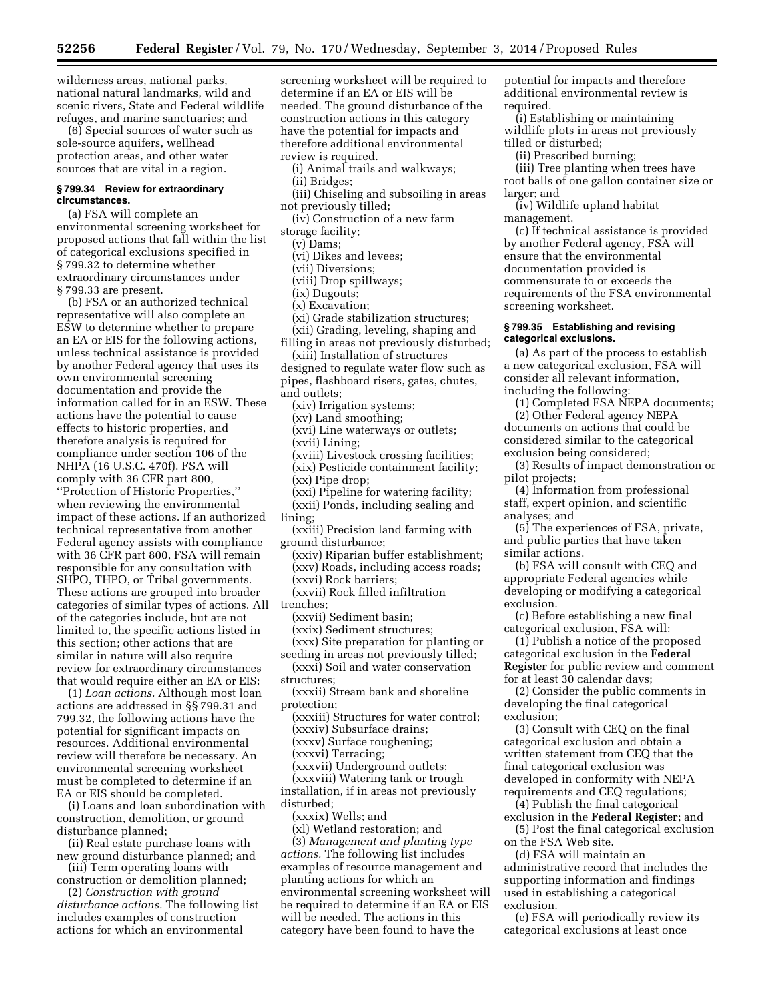wilderness areas, national parks, national natural landmarks, wild and scenic rivers, State and Federal wildlife refuges, and marine sanctuaries; and

(6) Special sources of water such as sole-source aquifers, wellhead protection areas, and other water sources that are vital in a region.

#### **§ 799.34 Review for extraordinary circumstances.**

(a) FSA will complete an environmental screening worksheet for proposed actions that fall within the list of categorical exclusions specified in § 799.32 to determine whether extraordinary circumstances under § 799.33 are present.

(b) FSA or an authorized technical representative will also complete an ESW to determine whether to prepare an EA or EIS for the following actions, unless technical assistance is provided by another Federal agency that uses its own environmental screening documentation and provide the information called for in an ESW. These actions have the potential to cause effects to historic properties, and therefore analysis is required for compliance under section 106 of the NHPA (16 U.S.C. 470f). FSA will comply with 36 CFR part 800, ''Protection of Historic Properties,'' when reviewing the environmental impact of these actions. If an authorized technical representative from another Federal agency assists with compliance with 36 CFR part 800, FSA will remain responsible for any consultation with SHPO, THPO, or Tribal governments. These actions are grouped into broader categories of similar types of actions. All of the categories include, but are not limited to, the specific actions listed in this section; other actions that are similar in nature will also require review for extraordinary circumstances that would require either an EA or EIS:

(1) *Loan actions.* Although most loan actions are addressed in §§ 799.31 and 799.32, the following actions have the potential for significant impacts on resources. Additional environmental review will therefore be necessary. An environmental screening worksheet must be completed to determine if an EA or EIS should be completed.

(i) Loans and loan subordination with construction, demolition, or ground disturbance planned;

(ii) Real estate purchase loans with new ground disturbance planned; and

(iii) Term operating loans with construction or demolition planned;

(2) *Construction with ground disturbance actions.* The following list includes examples of construction actions for which an environmental

screening worksheet will be required to determine if an EA or EIS will be needed. The ground disturbance of the construction actions in this category have the potential for impacts and therefore additional environmental review is required.

(i) Animal trails and walkways;

(ii) Bridges;

(iii) Chiseling and subsoiling in areas not previously tilled;

(iv) Construction of a new farm storage facility;

(v) Dams;

(vi) Dikes and levees;

(vii) Diversions;

(viii) Drop spillways;

- (ix) Dugouts;
- (x) Excavation;

(xi) Grade stabilization structures;

(xii) Grading, leveling, shaping and filling in areas not previously disturbed;

(xiii) Installation of structures designed to regulate water flow such as pipes, flashboard risers, gates, chutes,

and outlets;

(xiv) Irrigation systems;

(xv) Land smoothing;

(xvi) Line waterways or outlets;

(xvii) Lining;

(xviii) Livestock crossing facilities;

(xix) Pesticide containment facility;

(xx) Pipe drop;

(xxi) Pipeline for watering facility;

(xxii) Ponds, including sealing and lining;

(xxiii) Precision land farming with ground disturbance;

(xxiv) Riparian buffer establishment; (xxv) Roads, including access roads; (xxvi) Rock barriers;

(xxvii) Rock filled infiltration

trenches;

(xxvii) Sediment basin;

(xxix) Sediment structures;

(xxx) Site preparation for planting or seeding in areas not previously tilled;

(xxxi) Soil and water conservation structures;

(xxxii) Stream bank and shoreline protection;

(xxxiii) Structures for water control;

(xxxiv) Subsurface drains;

(xxxv) Surface roughening;

(xxxvi) Terracing;

(xxxvii) Underground outlets; (xxxviii) Watering tank or trough

installation, if in areas not previously disturbed;

(xxxix) Wells; and

(xl) Wetland restoration; and

(3) *Management and planting type actions.* The following list includes examples of resource management and planting actions for which an environmental screening worksheet will be required to determine if an EA or EIS will be needed. The actions in this category have been found to have the

potential for impacts and therefore additional environmental review is required.

(i) Establishing or maintaining wildlife plots in areas not previously tilled or disturbed;

(ii) Prescribed burning;

(iii) Tree planting when trees have root balls of one gallon container size or larger; and

(iv) Wildlife upland habitat management.

(c) If technical assistance is provided by another Federal agency, FSA will ensure that the environmental documentation provided is commensurate to or exceeds the requirements of the FSA environmental screening worksheet.

## **§ 799.35 Establishing and revising categorical exclusions.**

(a) As part of the process to establish a new categorical exclusion, FSA will consider all relevant information, including the following:

(1) Completed FSA NEPA documents; (2) Other Federal agency NEPA

documents on actions that could be considered similar to the categorical exclusion being considered;

(3) Results of impact demonstration or pilot projects;

(4) Information from professional staff, expert opinion, and scientific analyses; and

(5) The experiences of FSA, private, and public parties that have taken similar actions.

(b) FSA will consult with CEQ and appropriate Federal agencies while developing or modifying a categorical exclusion.

(c) Before establishing a new final categorical exclusion, FSA will:

(1) Publish a notice of the proposed categorical exclusion in the **Federal Register** for public review and comment for at least 30 calendar days;

(2) Consider the public comments in developing the final categorical exclusion;

(3) Consult with CEQ on the final categorical exclusion and obtain a written statement from CEQ that the final categorical exclusion was developed in conformity with NEPA requirements and CEQ regulations;

(4) Publish the final categorical exclusion in the **Federal Register**; and

(5) Post the final categorical exclusion on the FSA Web site.

(d) FSA will maintain an administrative record that includes the supporting information and findings used in establishing a categorical exclusion.

(e) FSA will periodically review its categorical exclusions at least once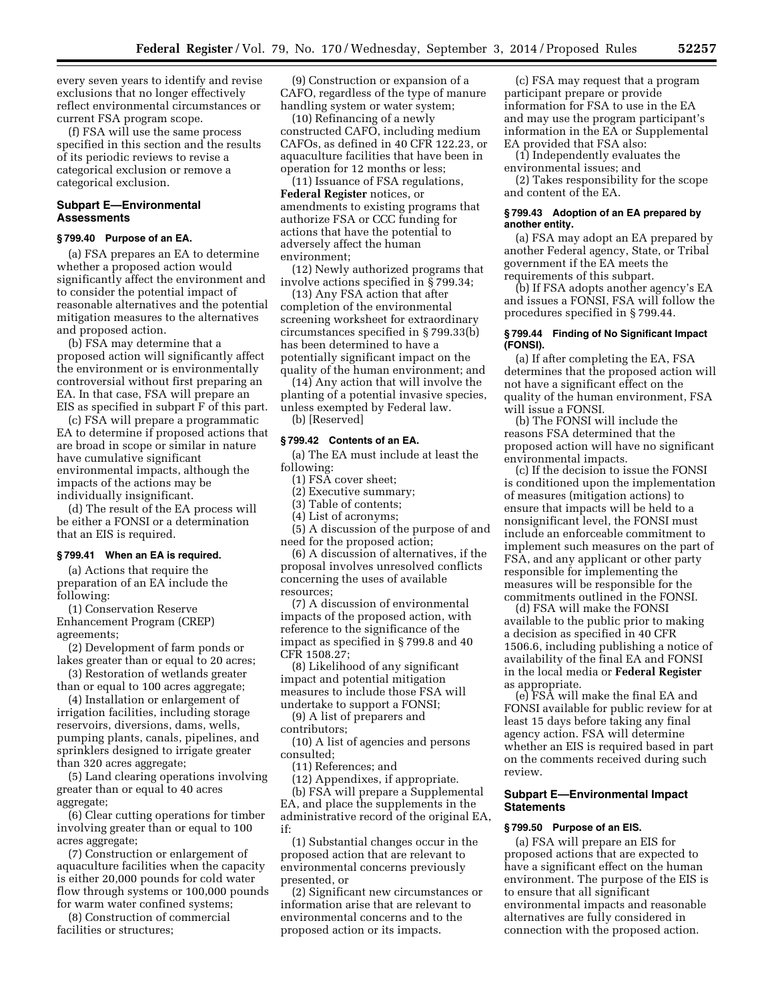every seven years to identify and revise exclusions that no longer effectively reflect environmental circumstances or current FSA program scope.

(f) FSA will use the same process specified in this section and the results of its periodic reviews to revise a categorical exclusion or remove a categorical exclusion.

## **Subpart E—Environmental Assessments**

# **§ 799.40 Purpose of an EA.**

(a) FSA prepares an EA to determine whether a proposed action would significantly affect the environment and to consider the potential impact of reasonable alternatives and the potential mitigation measures to the alternatives and proposed action.

(b) FSA may determine that a proposed action will significantly affect the environment or is environmentally controversial without first preparing an EA. In that case, FSA will prepare an EIS as specified in subpart F of this part.

(c) FSA will prepare a programmatic EA to determine if proposed actions that are broad in scope or similar in nature have cumulative significant environmental impacts, although the impacts of the actions may be individually insignificant.

(d) The result of the EA process will be either a FONSI or a determination that an EIS is required.

# **§ 799.41 When an EA is required.**

(a) Actions that require the preparation of an EA include the following:

(1) Conservation Reserve Enhancement Program (CREP) agreements;

(2) Development of farm ponds or lakes greater than or equal to 20 acres;

(3) Restoration of wetlands greater than or equal to 100 acres aggregate;

(4) Installation or enlargement of irrigation facilities, including storage reservoirs, diversions, dams, wells, pumping plants, canals, pipelines, and sprinklers designed to irrigate greater than 320 acres aggregate;

(5) Land clearing operations involving greater than or equal to 40 acres aggregate;

(6) Clear cutting operations for timber involving greater than or equal to 100 acres aggregate;

(7) Construction or enlargement of aquaculture facilities when the capacity is either 20,000 pounds for cold water flow through systems or 100,000 pounds for warm water confined systems;

(8) Construction of commercial facilities or structures;

(9) Construction or expansion of a CAFO, regardless of the type of manure handling system or water system;

(10) Refinancing of a newly constructed CAFO, including medium CAFOs, as defined in 40 CFR 122.23, or aquaculture facilities that have been in operation for 12 months or less;

(11) Issuance of FSA regulations, **Federal Register** notices, or amendments to existing programs that authorize FSA or CCC funding for actions that have the potential to adversely affect the human environment;

(12) Newly authorized programs that involve actions specified in § 799.34;

(13) Any FSA action that after completion of the environmental screening worksheet for extraordinary circumstances specified in § 799.33(b) has been determined to have a potentially significant impact on the quality of the human environment; and

(14) Any action that will involve the planting of a potential invasive species, unless exempted by Federal law. (b) [Reserved]

#### **§ 799.42 Contents of an EA.**

(a) The EA must include at least the following:

(1) FSA cover sheet;

(2) Executive summary;

(3) Table of contents;

(4) List of acronyms;

(5) A discussion of the purpose of and need for the proposed action;

(6) A discussion of alternatives, if the proposal involves unresolved conflicts concerning the uses of available resources;

(7) A discussion of environmental impacts of the proposed action, with reference to the significance of the impact as specified in § 799.8 and 40 CFR 1508.27;

(8) Likelihood of any significant impact and potential mitigation measures to include those FSA will undertake to support a FONSI;

(9) A list of preparers and contributors;

(10) A list of agencies and persons consulted;

(11) References; and

(12) Appendixes, if appropriate.

(b) FSA will prepare a Supplemental EA, and place the supplements in the administrative record of the original EA, if:

(1) Substantial changes occur in the proposed action that are relevant to environmental concerns previously presented, or

(2) Significant new circumstances or information arise that are relevant to environmental concerns and to the proposed action or its impacts.

(c) FSA may request that a program participant prepare or provide information for FSA to use in the EA and may use the program participant's information in the EA or Supplemental EA provided that FSA also:

(1) Independently evaluates the environmental issues; and

(2) Takes responsibility for the scope and content of the EA.

## **§ 799.43 Adoption of an EA prepared by another entity.**

(a) FSA may adopt an EA prepared by another Federal agency, State, or Tribal government if the EA meets the requirements of this subpart.

(b) If FSA adopts another agency's EA and issues a FONSI, FSA will follow the procedures specified in § 799.44.

#### **§ 799.44 Finding of No Significant Impact (FONSI).**

(a) If after completing the EA, FSA determines that the proposed action will not have a significant effect on the quality of the human environment, FSA will issue a FONSI.

(b) The FONSI will include the reasons FSA determined that the proposed action will have no significant environmental impacts.

(c) If the decision to issue the FONSI is conditioned upon the implementation of measures (mitigation actions) to ensure that impacts will be held to a nonsignificant level, the FONSI must include an enforceable commitment to implement such measures on the part of FSA, and any applicant or other party responsible for implementing the measures will be responsible for the commitments outlined in the FONSI.

(d) FSA will make the FONSI available to the public prior to making a decision as specified in 40 CFR 1506.6, including publishing a notice of availability of the final EA and FONSI in the local media or **Federal Register**  as appropriate.

(e) FSA will make the final EA and FONSI available for public review for at least 15 days before taking any final agency action. FSA will determine whether an EIS is required based in part on the comments received during such review.

## **Subpart E—Environmental Impact Statements**

## **§ 799.50 Purpose of an EIS.**

(a) FSA will prepare an EIS for proposed actions that are expected to have a significant effect on the human environment. The purpose of the EIS is to ensure that all significant environmental impacts and reasonable alternatives are fully considered in connection with the proposed action.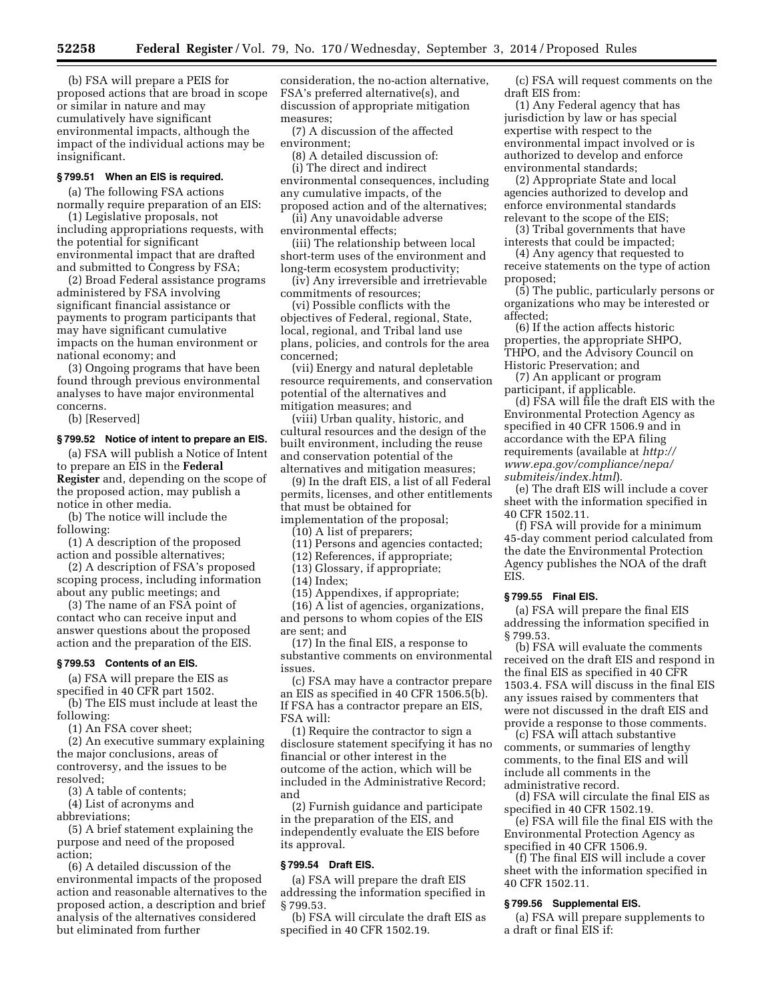(b) FSA will prepare a PEIS for proposed actions that are broad in scope or similar in nature and may cumulatively have significant environmental impacts, although the impact of the individual actions may be insignificant.

# **§ 799.51 When an EIS is required.**

(a) The following FSA actions normally require preparation of an EIS:

(1) Legislative proposals, not including appropriations requests, with the potential for significant environmental impact that are drafted and submitted to Congress by FSA;

(2) Broad Federal assistance programs administered by FSA involving significant financial assistance or payments to program participants that may have significant cumulative impacts on the human environment or national economy; and

(3) Ongoing programs that have been found through previous environmental analyses to have major environmental concerns.

(b) [Reserved]

#### **§ 799.52 Notice of intent to prepare an EIS.**

(a) FSA will publish a Notice of Intent to prepare an EIS in the **Federal Register** and, depending on the scope of the proposed action, may publish a notice in other media.

(b) The notice will include the following:

(1) A description of the proposed action and possible alternatives;

(2) A description of FSA's proposed scoping process, including information about any public meetings; and

(3) The name of an FSA point of contact who can receive input and answer questions about the proposed action and the preparation of the EIS.

#### **§ 799.53 Contents of an EIS.**

(a) FSA will prepare the EIS as specified in 40 CFR part 1502.

(b) The EIS must include at least the following:

(1) An FSA cover sheet;

(2) An executive summary explaining the major conclusions, areas of controversy, and the issues to be resolved;

(3) A table of contents;

(4) List of acronyms and

abbreviations;

(5) A brief statement explaining the purpose and need of the proposed action;

(6) A detailed discussion of the environmental impacts of the proposed action and reasonable alternatives to the proposed action, a description and brief analysis of the alternatives considered but eliminated from further

consideration, the no-action alternative, FSA's preferred alternative(s), and discussion of appropriate mitigation measures;

(7) A discussion of the affected environment;

(8) A detailed discussion of:

(i) The direct and indirect environmental consequences, including any cumulative impacts, of the proposed action and of the alternatives;

(ii) Any unavoidable adverse environmental effects;

(iii) The relationship between local short-term uses of the environment and long-term ecosystem productivity;

(iv) Any irreversible and irretrievable commitments of resources;

(vi) Possible conflicts with the objectives of Federal, regional, State, local, regional, and Tribal land use plans, policies, and controls for the area concerned;

(vii) Energy and natural depletable resource requirements, and conservation potential of the alternatives and mitigation measures; and

(viii) Urban quality, historic, and cultural resources and the design of the built environment, including the reuse and conservation potential of the alternatives and mitigation measures;

(9) In the draft EIS, a list of all Federal permits, licenses, and other entitlements that must be obtained for implementation of the proposal;

(10) A list of preparers;

(11) Persons and agencies contacted;

(12) References, if appropriate;

(13) Glossary, if appropriate; (14) Index;

(15) Appendixes, if appropriate;

(16) A list of agencies, organizations, and persons to whom copies of the EIS are sent; and

(17) In the final EIS, a response to substantive comments on environmental issues.

(c) FSA may have a contractor prepare an EIS as specified in 40 CFR 1506.5(b). If FSA has a contractor prepare an EIS, FSA will:

(1) Require the contractor to sign a disclosure statement specifying it has no financial or other interest in the outcome of the action, which will be included in the Administrative Record; and

(2) Furnish guidance and participate in the preparation of the EIS, and independently evaluate the EIS before its approval.

#### **§ 799.54 Draft EIS.**

(a) FSA will prepare the draft EIS addressing the information specified in § 799.53.

(b) FSA will circulate the draft EIS as specified in 40 CFR 1502.19.

(c) FSA will request comments on the draft EIS from:

(1) Any Federal agency that has jurisdiction by law or has special expertise with respect to the environmental impact involved or is authorized to develop and enforce environmental standards;

(2) Appropriate State and local agencies authorized to develop and enforce environmental standards relevant to the scope of the EIS;

(3) Tribal governments that have interests that could be impacted;

(4) Any agency that requested to receive statements on the type of action proposed;

(5) The public, particularly persons or organizations who may be interested or affected;

(6) If the action affects historic properties, the appropriate SHPO, THPO, and the Advisory Council on Historic Preservation; and

(7) An applicant or program participant, if applicable.

(d) FSA will file the draft EIS with the Environmental Protection Agency as specified in 40 CFR 1506.9 and in accordance with the EPA filing requirements (available at *[http://](http://www.epa.gov/compliance/nepa/submiteis/index.html) [www.epa.gov/compliance/nepa/](http://www.epa.gov/compliance/nepa/submiteis/index.html) [submiteis/index.html](http://www.epa.gov/compliance/nepa/submiteis/index.html)*).

(e) The draft EIS will include a cover sheet with the information specified in 40 CFR 1502.11.

(f) FSA will provide for a minimum 45-day comment period calculated from the date the Environmental Protection Agency publishes the NOA of the draft EIS.

#### **§ 799.55 Final EIS.**

(a) FSA will prepare the final EIS addressing the information specified in § 799.53.

(b) FSA will evaluate the comments received on the draft EIS and respond in the final EIS as specified in 40 CFR 1503.4. FSA will discuss in the final EIS any issues raised by commenters that were not discussed in the draft EIS and provide a response to those comments.

(c) FSA will attach substantive comments, or summaries of lengthy comments, to the final EIS and will include all comments in the administrative record.

(d) FSA will circulate the final EIS as specified in 40 CFR 1502.19.

(e) FSA will file the final EIS with the Environmental Protection Agency as specified in 40 CFR 1506.9.

(f) The final EIS will include a cover sheet with the information specified in 40 CFR 1502.11.

#### **§ 799.56 Supplemental EIS.**

(a) FSA will prepare supplements to a draft or final EIS if: